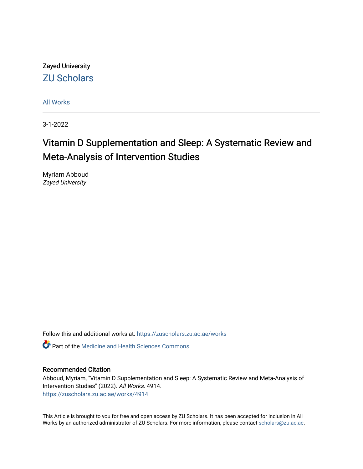Zayed University [ZU Scholars](https://zuscholars.zu.ac.ae/) 

[All Works](https://zuscholars.zu.ac.ae/works)

3-1-2022

# Vitamin D Supplementation and Sleep: A Systematic Review and Meta-Analysis of Intervention Studies

Myriam Abboud Zayed University

Follow this and additional works at: [https://zuscholars.zu.ac.ae/works](https://zuscholars.zu.ac.ae/works?utm_source=zuscholars.zu.ac.ae%2Fworks%2F4914&utm_medium=PDF&utm_campaign=PDFCoverPages)

**C** Part of the Medicine and Health Sciences Commons

## Recommended Citation

Abboud, Myriam, "Vitamin D Supplementation and Sleep: A Systematic Review and Meta-Analysis of Intervention Studies" (2022). All Works. 4914. [https://zuscholars.zu.ac.ae/works/4914](https://zuscholars.zu.ac.ae/works/4914?utm_source=zuscholars.zu.ac.ae%2Fworks%2F4914&utm_medium=PDF&utm_campaign=PDFCoverPages)

This Article is brought to you for free and open access by ZU Scholars. It has been accepted for inclusion in All Works by an authorized administrator of ZU Scholars. For more information, please contact [scholars@zu.ac.ae](mailto:scholars@zu.ac.ae).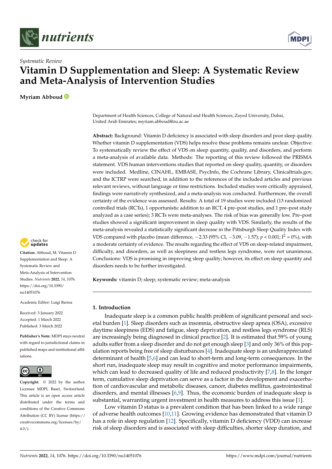



## *Systematic Review* **Vitamin D Supplementation and Sleep: A Systematic Review and Meta-Analysis of Intervention Studies**

**Myriam Abboud**

Department of Health Sciences, College of Natural and Health Sciences, Zayed University, Dubai, United Arab Emirates; myriam.abboud@zu.ac.ae

**Abstract:** Background: Vitamin D deficiency is associated with sleep disorders and poor sleep quality. Whether vitamin D supplementation (VDS) helps resolve these problems remains unclear. Objective: To systematically review the effect of VDS on sleep quantity, quality, and disorders, and perform a meta-analysis of available data. Methods: The reporting of this review followed the PRISMA statement. VDS human interventions studies that reported on sleep quality, quantity, or disorders were included. Medline, CINAHL, EMBASE, PsycInfo, the Cochrane Library, Clinicaltrials.gov, and the ICTRP were searched, in addition to the references of the included articles and previous relevant reviews, without language or time restrictions. Included studies were critically appraised, findings were narratively synthesized, and a meta-analysis was conducted. Furthermore, the overall certainty of the evidence was assessed. Results: A total of 19 studies were included (13 randomized controlled trials (RCTs), 1 opportunistic addition to an RCT, 4 pre–post studies, and 1 pre–post study analyzed as a case series); 3 RCTs were meta-analyses. The risk of bias was generally low. Pre–post studies showed a significant improvement in sleep quality with VDS. Similarly, the results of the meta-analysis revealed a statistically significant decrease in the Pittsburgh Sleep Quality Index with VDS compared with placebo (mean difference,  $-2.33$  (95% CI,  $-3.09$ ,  $-1.57$ );  $p < 0.001$ ;  $I^2 = 0$ %), with a moderate certainty of evidence. The results regarding the effect of VDS on sleep-related impairment, difficulty, and disorders, as well as sleepiness and restless legs syndrome, were not unanimous. Conclusions: VDS is promising in improving sleep quality; however, its effect on sleep quantity and disorders needs to be further investigated.

**Keywords:** vitamin D; sleep; systematic review; meta-analysis

## **1. Introduction**

Inadequate sleep is a common public health problem of significant personal and societal burden [\[1\]](#page-20-0). Sleep disorders such as insomnia, obstructive sleep apnea (OSA), excessive daytime sleepiness (EDS) and fatigue, sleep deprivation, and restless legs syndrome (RLS) are increasingly being diagnosed in clinical practice [\[2\]](#page-20-1). It is estimated that 59% of young adults suffer from a sleep disorder and do not get enough sleep [\[3\]](#page-20-2) and only 36% of this population reports being free of sleep disturbances [\[4\]](#page-20-3). Inadequate sleep is an underappreciated determinant of health [\[5,](#page-20-4)[6\]](#page-20-5) and can lead to short-term and long-term consequences. In the short run, inadequate sleep may result in cognitive and motor performance impairments, which can lead to decreased quality of life and reduced productivity [\[7,](#page-20-6)[8\]](#page-20-7). In the longer term, cumulative sleep deprivation can serve as a factor in the development and exacerbation of cardiovascular and metabolic diseases, cancer, diabetes mellitus, gastrointestinal disorders, and mental illnesses [\[6,](#page-20-5)[9\]](#page-20-8). Thus, the economic burden of inadequate sleep is substantial, warranting urgent investment in health measures to address this issue [\[1\]](#page-20-0).

Low vitamin D status is a prevalent condition that has been linked to a wide range of adverse health outcomes [\[10](#page-20-9)[,11\]](#page-20-10). Growing evidence has demonstrated that vitamin D has a role in sleep regulation [\[12\]](#page-21-0). Specifically, vitamin D deficiency (VDD) can increase risk of sleep disorders and is associated with sleep difficulties, shorter sleep duration, and



**Citation:** Abboud, M. Vitamin D Supplementation and Sleep: A Systematic Review and Meta-Analysis of Intervention Studies. *Nutrients* **2022**, *14*, 1076. [https://doi.org/10.3390/](https://doi.org/10.3390/nu14051076) [nu14051076](https://doi.org/10.3390/nu14051076)

Academic Editor: Luigi Barrea

Received: 3 January 2022 Accepted: 1 March 2022 Published: 3 March 2022

**Publisher's Note:** MDPI stays neutral with regard to jurisdictional claims in published maps and institutional affiliations.



**Copyright:** © 2022 by the author. Licensee MDPI, Basel, Switzerland. This article is an open access article distributed under the terms and conditions of the Creative Commons Attribution (CC BY) license [\(https://](https://creativecommons.org/licenses/by/4.0/) [creativecommons.org/licenses/by/](https://creativecommons.org/licenses/by/4.0/)  $4.0/$ ).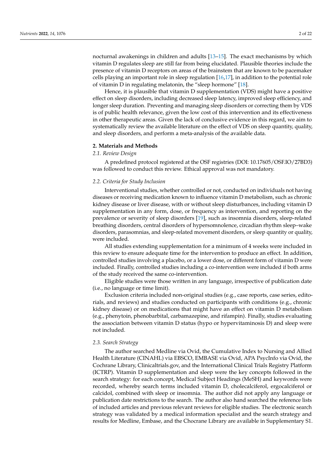nocturnal awakenings in children and adults [\[13–](#page-21-1)[15\]](#page-21-2). The exact mechanisms by which vitamin D regulates sleep are still far from being elucidated. Plausible theories include the presence of vitamin D receptors on areas of the brainstem that are known to be pacemaker cells playing an important role in sleep regulation  $[16,17]$  $[16,17]$ , in addition to the potential role of vitamin D in regulating melatonin, the "sleep hormone" [\[18\]](#page-21-5).

Hence, it is plausible that vitamin D supplementation (VDS) might have a positive effect on sleep disorders, including decreased sleep latency, improved sleep efficiency, and longer sleep duration. Preventing and managing sleep disorders or correcting them by VDS is of public health relevance, given the low cost of this intervention and its effectiveness in other therapeutic areas. Given the lack of conclusive evidence in this regard, we aim to systematically review the available literature on the effect of VDS on sleep quantity, quality, and sleep disorders, and perform a meta-analysis of the available data.

## **2. Materials and Methods**

## *2.1. Review Design*

A predefined protocol registered at the OSF registries (DOI: 10.17605/OSF.IO/27BD3) was followed to conduct this review. Ethical approval was not mandatory.

## *2.2. Criteria for Study Inclusion*

Interventional studies, whether controlled or not, conducted on individuals not having diseases or receiving medication known to influence vitamin D metabolism, such as chronic kidney disease or liver disease, with or without sleep disturbances, including vitamin D supplementation in any form, dose, or frequency as intervention, and reporting on the prevalence or severity of sleep disorders [\[19\]](#page-21-6), such as insomnia disorders, sleep-related breathing disorders, central disorders of hypersomnolence, circadian rhythm sleep–wake disorders, parasomnias, and sleep-related movement disorders, or sleep quantity or quality, were included.

All studies extending supplementation for a minimum of 4 weeks were included in this review to ensure adequate time for the intervention to produce an effect. In addition, controlled studies involving a placebo, or a lower dose, or different form of vitamin D were included. Finally, controlled studies including a co-intervention were included if both arms of the study received the same co-intervention.

Eligible studies were those written in any language, irrespective of publication date (i.e., no language or time limit).

Exclusion criteria included non-original studies (e.g., case reports, case series, editorials, and reviews) and studies conducted on participants with conditions (e.g., chronic kidney disease) or on medications that might have an effect on vitamin D metabolism (e.g., phenytoin, phenobarbital, carbamazepine, and rifampin). Finally, studies evaluating the association between vitamin D status (hypo or hypervitaminosis D) and sleep were not included.

## *2.3. Search Strategy*

The author searched Medline via Ovid, the Cumulative Index to Nursing and Allied Health Literature (CINAHL) via EBSCO, EMBASE via Ovid, APA PsycInfo via Ovid, the Cochrane Library, Clinicaltrials.gov, and the International Clinical Trials Registry Platform (ICTRP). Vitamin D supplementation and sleep were the key concepts followed in the search strategy: for each concept, Medical Subject Headings (MeSH) and keywords were recorded, whereby search terms included vitamin D, cholecalciferol, ergocalciferol or calcidol, combined with sleep or insomnia. The author did not apply any language or publication date restrictions to the search. The author also hand searched the reference lists of included articles and previous relevant reviews for eligible studies. The electronic search strategy was validated by a medical information specialist and the search strategy and results for Medline, Embase, and the Chocrane Library are available in Supplementary S1.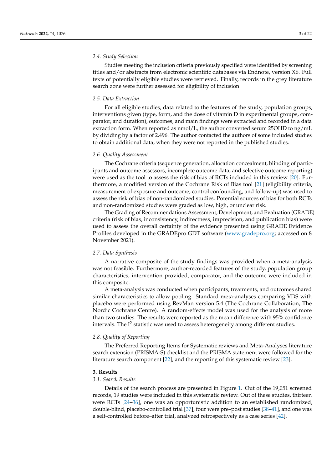## *2.4. Study Selection*

Studies meeting the inclusion criteria previously specified were identified by screening titles and/or abstracts from electronic scientific databases via Endnote, version X6. Full texts of potentially eligible studies were retrieved. Finally, records in the grey literature search zone were further assessed for eligibility of inclusion.

## *2.5. Data Extraction*

For all eligible studies, data related to the features of the study, population groups, interventions given (type, form, and the dose of vitamin D in experimental groups, comparator, and duration), outcomes, and main findings were extracted and recorded in a data extraction form. When reported as nmol/L, the author converted serum 25OHD to ng/mL by dividing by a factor of 2.496. The author contacted the authors of some included studies to obtain additional data, when they were not reported in the published studies.

## *2.6. Quality Assessment*

The Cochrane criteria (sequence generation, allocation concealment, blinding of participants and outcome assessors, incomplete outcome data, and selective outcome reporting) were used as the tool to assess the risk of bias of RCTs included in this review [\[20\]](#page-21-7). Furthermore, a modified version of the Cochrane Risk of Bias tool [\[21\]](#page-21-8) (eligibility criteria, measurement of exposure and outcome, control confounding, and follow-up) was used to assess the risk of bias of non-randomized studies. Potential sources of bias for both RCTs and non-randomized studies were graded as low, high, or unclear risk.

The Grading of Recommendations Assessment, Development, and Evaluation (GRADE) criteria (risk of bias, inconsistency, indirectness, imprecision, and publication bias) were used to assess the overall certainty of the evidence presented using GRADE Evidence Profiles developed in the GRADEpro GDT software [\(www.gradepro.org;](www.gradepro.org) accessed on 8 November 2021).

## *2.7. Data Synthesis*

A narrative composite of the study findings was provided when a meta-analysis was not feasible. Furthermore, author-recorded features of the study, population group characteristics, intervention provided, comparator, and the outcome were included in this composite.

A meta-analysis was conducted when participants, treatments, and outcomes shared similar characteristics to allow pooling. Standard meta-analyses comparing VDS with placebo were performed using RevMan version 5.4 (The Cochrane Collaboration, The Nordic Cochrane Centre). A random-effects model was used for the analysis of more than two studies. The results were reported as the mean difference with 95% confidence intervals. The  $I^2$  statistic was used to assess heterogeneity among different studies.

## *2.8. Quality of Reporting*

The Preferred Reporting Items for Systematic reviews and Meta-Analyses literature search extension (PRISMA-S) checklist and the PRISMA statement were followed for the literature search component [\[22\]](#page-21-9), and the reporting of this systematic review [\[23\]](#page-21-10).

## **3. Results**

## *3.1. Search Results*

Details of the search process are presented in Figure [1.](#page-4-0) Out of the 19,051 screened records, 19 studies were included in this systematic review. Out of these studies, thirteen were RCTs [\[24–](#page-21-11)[36\]](#page-22-0), one was an opportunistic addition to an established randomized, double-blind, placebo-controlled trial [\[37\]](#page-22-1), four were pre–post studies [\[38](#page-22-2)[–41\]](#page-22-3), and one was a self-controlled before–after trial, analyzed retrospectively as a case series [\[42\]](#page-22-4).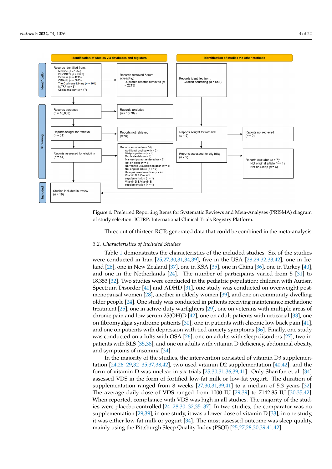<span id="page-4-0"></span>

**Figure 1.** Preferred Reporting Items for Systematic Reviews and Meta-Analyses (PRISMA) diagram **Figure 1.** Preferred Reporting Items for Systematic Reviews and Meta-Analyses (PRISMA) diagram of study selection. ICTRP: International Clinical Trials Registry Platform. of study selection. ICTRP: International Clinical Trials Registry Platform.

Three out of thirteen RCTs generated data that could be combined in the meta-analysis.

## Table 1 demonstrates the characteristics of the included studies. Six of the included studies. Six of the studies 3.2. Characteristics of Included Studies

Table 1 demonstrates the characteristics of the included studies. Six of the studies were conducted in Iran  $[25,27,30,31,34,39]$  $[25,27,30,31,34,39]$  $[25,27,30,31,34,39]$  $[25,27,30,31,34,39]$  $[25,27,30,31,34,39]$  $[25,27,30,31,34,39]$ , five in the USA  $[28,29,32,33,42]$  $[28,29,32,33,42]$  $[28,29,32,33,42]$  $[28,29,32,33,42]$  $[28,29,32,33,42]$ , one in Ire-land [\[26\]](#page-21-21), one in New Zealand [\[37\]](#page-22-1), one in KSA [\[35\]](#page-22-6), one in China [\[36\]](#page-22-0), one in Turkey [\[40\]](#page-22-7), and one in the Netherlands  $[24]$ . The number of participants varied from 5  $[31]$  to 18,353 [\[32\]](#page-21-19). Two studies were conducted in the pediatric population: children with Autism Spectrum Disorder  $[40]$  and ADHD  $[31]$ , one study was conducted on overweight post-menopausal women [\[28\]](#page-21-17), another in elderly women [\[39\]](#page-22-5), and one on community-dwelling older people [\[24\]](#page-21-11). One study was conducted in patients receiving maintenance methadone treatment [\[25\]](#page-21-12), one in active-duty warfighters [\[29\]](#page-21-18), one on veterans with multiple areas of chronic pain and low serum 25(OH)D [\[42\]](#page-22-4), one on adult patients with urticarial [\[33\]](#page-21-20), one on fibromyalgia syndrome patients [\[30\]](#page-21-14), one in patients with chronic low back pain [\[41\]](#page-22-3), and one on patients with depression with tied anxiety symptoms [\[36\]](#page-22-0). Finally, one study was conducted on adults with OSA  $[26]$ , one on adults with sleep disorders  $[27]$ , two in patients with RLS [\[35,](#page-22-6)[38\]](#page-22-2), and one on adults with vitamin D deficiency, abdominal obesity, and symptoms of insoming  $[34]$ ,  $[34]$ ,  $[40,42]$ , and the form in D2 supplementation  $[40,42]$ , and the form in D2 supplementation  $[40,42]$ and symptoms of insomnia [\[34\]](#page-21-16).

In the majority of the studies, the intervention consisted of vitamin D3 supplemen-<br> $\frac{1}{2}$ tation  $[24,26-29,32-35,37,38,42]$  $[24,26-29,32-35,37,38,42]$  $[24,26-29,32-35,37,38,42]$  $[24,26-29,32-35,37,38,42]$  $[24,26-29,32-35,37,38,42]$  $[24,26-29,32-35,37,38,42]$  $[24,26-29,32-35,37,38,42]$  $[24,26-29,32-35,37,38,42]$ , two used vitamin D2 supplementation  $[40,42]$  $[40,42]$ , and the form of vitamin D was unclear in six trials [\[25](#page-21-12)[,30](#page-21-14)[,31](#page-21-15)[,36](#page-22-0)[,39](#page-22-5)[,41\]](#page-22-3). Only Sharifan et al. [\[34\]](#page-21-16) assessed VDS in the form of fortified low-fat milk or low-fat yogurt. The duration of supplementation ranged from 8 weeks [\[27](#page-21-13)[,30,](#page-21-14)[31,](#page-21-15)[39,](#page-22-5)[41\]](#page-22-3) to a median of 5.3 years [\[32\]](#page-21-19). The average daily dose of VDS ranged from 1000 IU [\[29,](#page-21-18)[39\]](#page-22-5) to 7142.85 IU [\[30,](#page-21-14)[35,](#page-22-6)[42\]](#page-22-4). When reported, compliance with VDS was high in all studies. The majority of the studies were placebo controlled [\[24](#page-21-11)[–28](#page-21-17)[,30](#page-21-14)[–32](#page-21-19)[,35–](#page-22-6)[37\]](#page-22-1). In two studies, the comparator was no supplementation  $[29,39]$  $[29,39]$ ; in one study, it was a lower dose of vitamin D  $[33]$ ; in one study, it was either low-fat milk or yogurt [\[34\]](#page-21-16). The most assessed outcome was sleep quality, mainly using the Pittsburgh Sleep Quality Index (PSQI) [\[25](#page-21-12)[,27](#page-21-13)[,28,](#page-21-17)[30,](#page-21-14)[39,](#page-22-5)[41,](#page-22-3)[42\]](#page-22-4).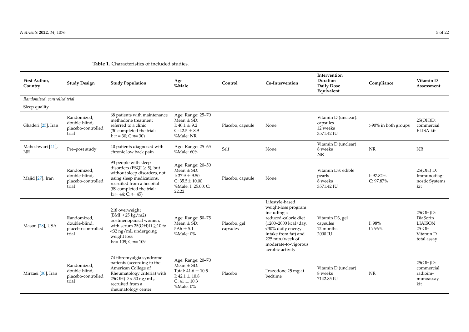| First Author,<br>Country      | <b>Study Design</b>                                         | <b>Study Population</b>                                                                                                                                                                                | Age<br>%Male                                                                                                               | Control                  | Co-Intervention                                                                                                                                                                                                   | Intervention<br>Duration<br>Daily Dose<br>Equivalent       | Compliance                | Vitamin D<br>Assessment                                                          |
|-------------------------------|-------------------------------------------------------------|--------------------------------------------------------------------------------------------------------------------------------------------------------------------------------------------------------|----------------------------------------------------------------------------------------------------------------------------|--------------------------|-------------------------------------------------------------------------------------------------------------------------------------------------------------------------------------------------------------------|------------------------------------------------------------|---------------------------|----------------------------------------------------------------------------------|
| Randomized, controlled trial  |                                                             |                                                                                                                                                                                                        |                                                                                                                            |                          |                                                                                                                                                                                                                   |                                                            |                           |                                                                                  |
| Sleep quality                 |                                                             |                                                                                                                                                                                                        |                                                                                                                            |                          |                                                                                                                                                                                                                   |                                                            |                           |                                                                                  |
| Ghaderi [25], Iran            | Randomized,<br>double-blind.<br>placebo-controlled<br>trial | 68 patients with maintenance<br>methadone treatment<br>referred to a clinic<br>(30 completed the trial:<br>I: $n = 30$ ; C: $n = 30$ )                                                                 | Age: Range: 25-70<br>Mean $\pm$ SD:<br>I: $40.1 \pm 9.2$<br>C: $42.5 \pm 8.9$<br>%Male: NR                                 | Placebo, capsule         | None                                                                                                                                                                                                              | Vitamin D (unclear):<br>capsules<br>12 weeks<br>3571.42 IU | >90% in both groups       | 25(OH)D:<br>commercial<br>ELISA kit                                              |
| Maheshwari [41],<br><b>NR</b> | Pre-post study                                              | 40 patients diagnosed with<br>chronic low back pain                                                                                                                                                    | Age: Range: 25-65<br>%Male: 60%                                                                                            | Self                     | None                                                                                                                                                                                                              | Vitamin D (unclear)<br>8 weeks<br>NR                       | <b>NR</b>                 | NR                                                                               |
| Majid [27], Iran              | Randomized.<br>double-blind,<br>placebo-controlled<br>trial | 93 people with sleep<br>disorders (PSQI $\geq$ 5), but<br>without sleep disorders, not<br>using sleep medications,<br>recruited from a hospital<br>(89 completed the trial:<br>I: $n=44$ ; C: $n=45$ ) | Age: Range: 20-50<br>Mean $\pm$ SD:<br>I: $37.9 \pm 9.50$<br>$C: 35.5 \pm 10.00$<br>%Male: I: 25.00; C:<br>22.22           | Placebo, capsule         | None                                                                                                                                                                                                              | Vitamin D3: edible<br>pearls<br>8 weeks<br>3571.42 IU      | I: 97.82%<br>$C: 97.87\%$ | 25(OH) D:<br>Immunodiag-<br>nostic Systems<br>kit                                |
| Mason [28], USA               | Randomized,<br>double-blind,<br>placebo-controlled<br>trial | 218 overweight<br>$(BMI \geq 25 kg/m2)$<br>postmenopausal women,<br>with serum $25(OH)D \ge 10$ to<br><32 ng/mL undergoing<br>weight loss<br>I: $n=109$ ; C: $n=109$                                   | Age: Range: 50-75<br>Mean $\pm$ SD:<br>$59.6 \pm 5.1$<br>%Male: 0%                                                         | Placebo, gel<br>capsules | Lifestyle-based<br>weight-loss program<br>including a<br>reduced-calorie diet<br>(1200–2000 kcal/day,<br><30% daily energy<br>intake from fat) and<br>225 min/week of<br>moderate-to-vigorous<br>aerobic activity | Vitamin D3, gel<br>capsules<br>12 months<br>2000 IU        | I: 98%<br>C: 96%          | $25(OH)D$ :<br>DiaSorin<br><b>LIAISON</b><br>$25-OH$<br>Vitamin D<br>total assay |
| Mirzaei [30], Iran            | Randomized,<br>double-blind,<br>placebo-controlled<br>trial | 74 fibromyalgia syndrome<br>patients (according to the<br>American College of<br>Rheumatology criteria) with<br>$25(OH)D < 30$ ng/mL,<br>recruited from a<br>rheumatology center                       | Age: Range: 20-70<br>Mean $\pm$ SD:<br>Total: $41.6 \pm 10.5$<br>I: $42.1 \pm 10.8$<br>$C: 41 \pm 10.3$<br>$%$ Male: $0\%$ | Placebo                  | Trazodone 25 mg at<br>bedtime                                                                                                                                                                                     | Vitamin D (unclear)<br>8 weeks<br>7142.85 IU               | NR                        | $25(OH)D$ :<br>commercial<br>radioim-<br>munoassay<br>kit                        |

## **Table 1.** Characteristics of included studies.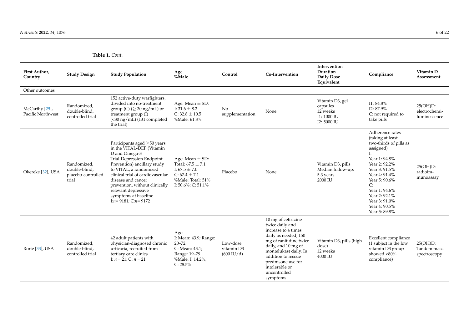| First Author,<br>Country            | <b>Study Design</b>                                         | <b>Study Population</b>                                                                                                                                                                                                                                                                                                                 | Age<br>%Male                                                                                                                             | Control                                        | Co-Intervention                                                                                                                                                                                                                                           | Intervention<br>Duration<br><b>Daily Dose</b><br>Equivalent           | Compliance                                                                                                                                                                                                                                                      | Vitamin D<br>Assessment                      |
|-------------------------------------|-------------------------------------------------------------|-----------------------------------------------------------------------------------------------------------------------------------------------------------------------------------------------------------------------------------------------------------------------------------------------------------------------------------------|------------------------------------------------------------------------------------------------------------------------------------------|------------------------------------------------|-----------------------------------------------------------------------------------------------------------------------------------------------------------------------------------------------------------------------------------------------------------|-----------------------------------------------------------------------|-----------------------------------------------------------------------------------------------------------------------------------------------------------------------------------------------------------------------------------------------------------------|----------------------------------------------|
| Other outcomes                      |                                                             |                                                                                                                                                                                                                                                                                                                                         |                                                                                                                                          |                                                |                                                                                                                                                                                                                                                           |                                                                       |                                                                                                                                                                                                                                                                 |                                              |
| McCarthy [29],<br>Pacific Northwest | Randomized,<br>double-blind,<br>controlled trial            | 152 active-duty warfighters,<br>divided into no-treatment<br>group (C) ( $\geq$ 30 ng/mL) or<br>treatment group (I)<br>$(<$ 30 ng/mL) (131 completed<br>the trial)                                                                                                                                                                      | Age: Mean $\pm$ SD:<br>I: $31.6 \pm 8.2$<br>$C: 32.8 \pm 10.5$<br>%Male: 61.8%                                                           | N <sub>o</sub><br>supplementation              | None                                                                                                                                                                                                                                                      | Vitamin D3, gel<br>capsules<br>12 weeks<br>I1: 1000 IU<br>I2: 5000 IU | $I1: 84.8\%$<br>I2: 87.9%<br>C: not required to<br>take pills                                                                                                                                                                                                   | $25(OH)D$ :<br>electrochemi-<br>luminescence |
| Okereke [32], USA                   | Randomized.<br>double-blind.<br>placebo-controlled<br>trial | Participants aged >50 years<br>in the VITAL-DEP (Vitamin<br>D and Omega-3<br>Trial-Depression Endpoint<br>Prevention) ancillary study<br>to VITAL, a randomized<br>clinical trial of cardiovascular<br>disease and cancer<br>prevention, without clinically<br>relevant depressive<br>symptoms at baseline<br>I: $n=9181$ ; C: $n=9172$ | Age: Mean $\pm$ SD:<br>Total: $67.5 \pm 7.1$<br>I: $67.5 \pm 7.0$<br>C: $67.4 \pm 7.1$<br>%Male: Total: 51%<br>I: $50.6\%$ ; C: $51.1\%$ | Placebo                                        | None                                                                                                                                                                                                                                                      | Vitamin D3, pills<br>Median follow-up:<br>5.3 years<br>2000 IU        | Adherence rates<br>(taking at least<br>two-thirds of pills as<br>assigned)<br>Ŀ<br>Year 1: 94.8%<br>Year 2: 92.2%<br>Year 3: 91.5%<br>Year 4: 91.4%<br>Year 5: 90.6%<br>C:<br>Year 1: 94.6%<br>Year 2: 92.1%<br>Year 3: 91.0%<br>Year 4: 90.5%<br>Year 5: 89.8% | $25(OH)D$ :<br>radioim-<br>munoassay         |
| Rorie [33], USA                     | Randomized<br>double-blind,<br>controlled trial             | 42 adult patients with<br>physician-diagnosed chronic<br>urticaria, recruited from<br>tertiary care clinics<br>I: $n = 21$ ; C: $n = 21$                                                                                                                                                                                                | Age:<br>I: Mean: 43.9; Range:<br>$20 - 72$<br>C: Mean: 43.1;<br>Range: 19-79<br>%Male: I: 14.2%;<br>$C: 28.5\%$                          | Low-dose<br>vitamin D3<br>$(600 \text{ IU}/d)$ | 10 mg of cetirizine<br>twice daily and<br>increase to 4 times<br>daily as needed, 150<br>mg of ranitidine twice<br>daily, and 10 mg of<br>montelukast daily. In<br>addition to rescue<br>prednisone use for<br>intolerable or<br>uncontrolled<br>symptoms | Vitamin D3, pills (high<br>dose)<br>12 weeks<br>4000 IU               | Excellent compliance<br>(1 subject in the low<br>vitamin D3 group<br>showed <80%<br>compliance)                                                                                                                                                                 | 25(OH)D:<br>Tandem mass<br>spectroscopy      |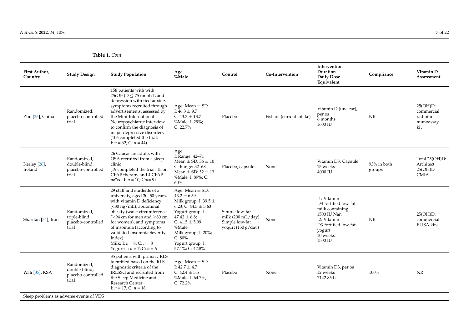| <b>First Author</b> ,<br>Country | <b>Study Design</b>                                         | <b>Study Population</b>                                                                                                                                                                                                                                                                                                                                                | Age<br>%Male                                                                                                                                                                                                                                         | Control                                                                                        | Co-Intervention           | Intervention<br>Duration<br><b>Daily Dose</b><br>Equivalent                                                                                   | Compliance            | Vitamin D<br>Assessment                                   |
|----------------------------------|-------------------------------------------------------------|------------------------------------------------------------------------------------------------------------------------------------------------------------------------------------------------------------------------------------------------------------------------------------------------------------------------------------------------------------------------|------------------------------------------------------------------------------------------------------------------------------------------------------------------------------------------------------------------------------------------------------|------------------------------------------------------------------------------------------------|---------------------------|-----------------------------------------------------------------------------------------------------------------------------------------------|-----------------------|-----------------------------------------------------------|
| Zhu [36], China                  | Randomized,<br>placebo-controlled<br>trial                  | 158 patients with with<br>$25(OH)D \le 75$ nmol/L and<br>depression with tied anxiety<br>symptoms recruited through<br>advertisements, assessed by<br>the Mini-International<br>Neuropsychiatric Interview<br>to confirm the diagnosis of<br>major depressive disorders<br>(106 completed the trial:<br>I: $n = 62$ ; C: $n = 44$ )                                    | Age: Mean $\pm$ SD<br>I: $46.3 \pm 9.7$<br>C: $43.3 \pm 13.7$<br>%Male: I: 29%;<br>$C: 22.7\%$                                                                                                                                                       | Placebo                                                                                        | Fish oil (current intake) | Vitamin D (unclear),<br>per os<br>6 months<br>1600 IU                                                                                         | NR                    | $25(OH)D$ :<br>commercial<br>radioim-<br>munoassay<br>kit |
| Kerley [26],<br>Ireland          | Randomized,<br>double-blind,<br>placebo-controlled<br>trial | 26 Caucasian adults with<br>OSA recruited from a sleep<br>clinic<br>(19 completed the trial: 15 on<br>CPAP therapy and 4 CPAP<br>naïve: I: $n = 10$ ; C: $n = 9$ )                                                                                                                                                                                                     | Age:<br>I: Range: 42-71<br>Mean $\pm$ SD: 56 $\pm$ 10<br>C: Range: 32-68<br>Mean $\pm$ SD: 52 $\pm$ 13<br>%Male: I: 89%; C:<br>60%                                                                                                                   | Placebo, capsule                                                                               | None                      | Vitamin D3: Capsule<br>15 weeks<br>4000 IU                                                                                                    | 93% in both<br>groups | Total 25(OH)D:<br>Architect<br>25(OH)D<br><b>CMIA</b>     |
| Sharifan [34], Iran              | Randomized,<br>triple-blind,<br>placebo-controlled<br>trial | 29 staff and students of a<br>university, aged 30-50 years,<br>with vitamin D deficiency<br>$(<$ 30 ng/mL), abdominal<br>obesity (waist circumference<br>( $\geq$ 94 cm for men and $\geq$ 80 cm<br>for women), and symptoms<br>of insomnia (according to<br>validated Insomnia Severity<br>Index)<br>Milk: I: $n = 8$ ; C: $n = 8$<br>Yogurt: I: $n = 7$ ; C: $n = 6$ | Age: Mean $\pm$ SD:<br>$43.2 \pm 6.59$<br>Milk group: I: 39.5 $\pm$<br>6.23; C: $44.5 \pm 5.63$<br>Yogurt group: I:<br>$47.42 \pm 6.8$ ;<br>C: $41.5 \pm 5.99$<br>%Male:<br>Milk group: $I: 20\%$ ;<br>C: 80%<br>Yogurt group: I:<br>57.1%; C: 42.8% | Simple low-fat<br>milk $(200 \text{ mL}/\text{day})$<br>Simple low-fat<br>yogurt $(150 g/day)$ | None                      | I1: Vitamin<br>D3-fortified low-fat<br>milk containing<br>1500 IU Nan<br>I2: Vitamin<br>D3-fortified low-fat<br>yogurt<br>10 weeks<br>1500 IU | NR                    | $25(OH)D$ :<br>commercial<br><b>ELISA</b> kits            |
| Wali [35], KSA                   | Randomized,<br>double-blind,<br>placebo-controlled<br>trial | 35 patients with primary RLS<br>identified based on the RLS<br>diagnostic criteria of the<br>IRLSSG and recruited from<br>the Sleep Medicine and<br>Research Center<br>I: $n = 17$ ; C: $n = 18$                                                                                                                                                                       | Age: Mean $\pm$ SD<br>I: $42.7 \pm 4.7$<br>C: $42.4 \pm 5.5$<br>%Male: I: 64.7%;<br>$C: 72.2\%$                                                                                                                                                      | Placebo                                                                                        | None                      | Vitamin D3, per os<br>12 weeks<br>7142.85 IU                                                                                                  | 100%                  | <b>NR</b>                                                 |
|                                  | Sleep problems as adverse events of VDS                     |                                                                                                                                                                                                                                                                                                                                                                        |                                                                                                                                                                                                                                                      |                                                                                                |                           |                                                                                                                                               |                       |                                                           |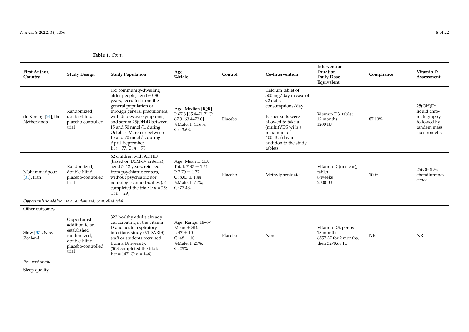| First Author,<br>Country           | <b>Study Design</b>                                                                                           | <b>Study Population</b>                                                                                                                                                                                                                                                                                                                | Age<br>%Male                                                                                                            | Control | Co-Intervention                                                                                                                                                                                                   | Intervention<br>Duration<br><b>Daily Dose</b><br>Equivalent                 | Compliance | Vitamin D<br>Assessment                                                              |
|------------------------------------|---------------------------------------------------------------------------------------------------------------|----------------------------------------------------------------------------------------------------------------------------------------------------------------------------------------------------------------------------------------------------------------------------------------------------------------------------------------|-------------------------------------------------------------------------------------------------------------------------|---------|-------------------------------------------------------------------------------------------------------------------------------------------------------------------------------------------------------------------|-----------------------------------------------------------------------------|------------|--------------------------------------------------------------------------------------|
| de Koning [24], the<br>Netherlands | Randomized,<br>double-blind.<br>placebo-controlled<br>trial                                                   | 155 community-dwelling<br>older people, aged 60-80<br>years, recruited from the<br>general population or<br>through general practitioners,<br>with depressive symptoms,<br>and serum 25(OH)D between<br>15 and 50 nmol/L during<br>October-March or between<br>15 and 70 nmol/L during<br>April–September<br>I: $n = 77$ : C: $n = 78$ | Age: Median [IQR]<br>I: 67.8 [65.4-71.7] C:<br>67.3 [63.4-72.0]<br>%Male: I: 41.6%;<br>$C: 43.6\%$                      | Placebo | Calcium tablet of<br>500 mg/day in case of<br>$<$ 2 dairy<br>consumptions/day<br>Participants were<br>allowed to take a<br>(multi)VDS with a<br>maximum of<br>$400$ IU/day in<br>addition to the study<br>tablets | Vitamin D3, tablet<br>12 months<br>1200 IU                                  | 87.10%     | 25(OH)D:<br>liquid chro-<br>matography<br>followed by<br>tandem mass<br>spectrometry |
| Mohammadpour<br>$[31]$ , Iran      | Randomized,<br>double-blind,<br>placebo-controlled<br>trial                                                   | 62 children with ADHD<br>(based on DSM-IV criteria),<br>aged 5-12 years, referred<br>from psychiatric centers,<br>without psychiatric nor<br>neurologic comorbidities (54<br>completed the trial: I: $n = 25$ ;<br>$C: n = 29$                                                                                                         | Age: Mean $\pm$ SD:<br>Total: $7.87 \pm 1.61$<br>I: $7.70 \pm 1.77$<br>$C: 8.03 \pm 1.44$<br>%Male: I: 71%;<br>C: 77.4% | Placebo | Methylphenidate                                                                                                                                                                                                   | Vitamin D (unclear),<br>tablet<br>8 weeks<br>2000 IU                        | 100%       | 25(OH)D3:<br>chemilumines-<br>cence                                                  |
|                                    | Opportunistic addition to a randomized, controlled trial                                                      |                                                                                                                                                                                                                                                                                                                                        |                                                                                                                         |         |                                                                                                                                                                                                                   |                                                                             |            |                                                                                      |
| Other outcomes                     |                                                                                                               |                                                                                                                                                                                                                                                                                                                                        |                                                                                                                         |         |                                                                                                                                                                                                                   |                                                                             |            |                                                                                      |
| Slow [37], New<br>Zealand          | Opportunistic<br>addition to an<br>established<br>randomized,<br>double-blind.<br>placebo-controlled<br>trial | 322 healthy adults already<br>participating in the vitamin<br>D and acute respiratory<br>infections study (VIDARIS)<br>staff or students recruited<br>from a University.<br>(308 completed the trial:<br>I: $n = 147$ ; C: $n = 146$ )                                                                                                 | Age: Range: 18-67<br>Mean $\pm$ SD:<br>I: $47 \pm 10$<br>$C: 48 \pm 10$<br>%Male: I: 25%;<br>C: 25%                     | Placebo | None                                                                                                                                                                                                              | Vitamin D3, per os<br>18 months<br>6557.37 for 2 months.<br>then 3278.68 IU | NR         | <b>NR</b>                                                                            |
| Pre-post study                     |                                                                                                               |                                                                                                                                                                                                                                                                                                                                        |                                                                                                                         |         |                                                                                                                                                                                                                   |                                                                             |            |                                                                                      |
| Sleep quality                      |                                                                                                               |                                                                                                                                                                                                                                                                                                                                        |                                                                                                                         |         |                                                                                                                                                                                                                   |                                                                             |            |                                                                                      |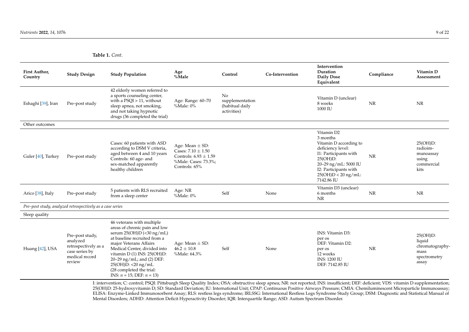| First Author,<br>Country | <b>Study Design</b>                                                                               | <b>Study Population</b>                                                                                                                                                                                                                                                                                                              | Age<br>%Male                                                                                                        | Control                                                 | Co-Intervention | Intervention<br>Duration<br><b>Daily Dose</b><br>Equivalent                                                                                                                                           | Compliance | Vitamin D<br>Assessment                                                |
|--------------------------|---------------------------------------------------------------------------------------------------|--------------------------------------------------------------------------------------------------------------------------------------------------------------------------------------------------------------------------------------------------------------------------------------------------------------------------------------|---------------------------------------------------------------------------------------------------------------------|---------------------------------------------------------|-----------------|-------------------------------------------------------------------------------------------------------------------------------------------------------------------------------------------------------|------------|------------------------------------------------------------------------|
| Eshaghi [39], Iran       | Pre-post study                                                                                    | 42 elderly women referred to<br>a sports counseling center,<br>with a $PSQI > 11$ , without<br>sleep apnea, not smoking,<br>and not taking hypnotic<br>drugs (36 completed the trial)                                                                                                                                                | Age: Range: 60-70<br>%Male: 0%                                                                                      | No<br>supplementation<br>(habitual daily<br>activities) |                 | Vitamin D (unclear)<br>8 weeks<br>1000 IU                                                                                                                                                             | NR         | <b>NR</b>                                                              |
| Other outcomes           |                                                                                                   |                                                                                                                                                                                                                                                                                                                                      |                                                                                                                     |                                                         |                 |                                                                                                                                                                                                       |            |                                                                        |
| Guler [40], Turkey       | Pre-post study                                                                                    | Cases: 60 patients with ASD<br>according to DSM V criteria,<br>aged between 4 and 10 years<br>Controls: 60 age- and<br>sex-matched apparently<br>healthy children                                                                                                                                                                    | Age: Mean $\pm$ SD:<br>Cases: $7.10 \pm 1.50$<br>Controls: $6.93 \pm 1.59$<br>%Male: Cases: 73.3%;<br>Controls: 65% |                                                         |                 | Vitamin D2<br>3 months<br>Vitamin D according to<br>deficiency level:<br>I1: Participants with<br>$25(OH)D$ :<br>20-29 ng/mL: 5000 IU<br>I2: Participants with<br>$25(OH)D < 20$ ng/mL:<br>7142.86 IU | NR         | $25(OH)D$ :<br>radioim-<br>munoassay<br>using<br>commercial<br>kits    |
| Arico [38], Italy        | Pre-post study                                                                                    | 5 patients with RLS recruited<br>from a sleep center                                                                                                                                                                                                                                                                                 | Age: NR<br>%Male: 0%                                                                                                | Self                                                    | None            | Vitamin D3 (unclear)<br>6 months<br><b>NR</b>                                                                                                                                                         | <b>NR</b>  | <b>NR</b>                                                              |
|                          | Pre-post study, analyzed retrospectively as a case series                                         |                                                                                                                                                                                                                                                                                                                                      |                                                                                                                     |                                                         |                 |                                                                                                                                                                                                       |            |                                                                        |
| Sleep quality            |                                                                                                   |                                                                                                                                                                                                                                                                                                                                      |                                                                                                                     |                                                         |                 |                                                                                                                                                                                                       |            |                                                                        |
| Huang [42], USA          | Pre-post study,<br>analyzed<br>retrospectively as a<br>case series by<br>medical record<br>review | 46 veterans with multiple<br>areas of chronic pain and low<br>serum $25(OH)D$ (<30 ng/mL)<br>at baseline recruited from a<br>major Veterans Affairs<br>Medical Center, divided into<br>vitamin D (1) INS: 25(OH)D:<br>20-29 ng/mL; and (2) DEF:<br>25(OH)D: <20 ng/mL<br>(28 completed the trial:<br>INS: $n = 15$ ; DEF: $n = 13$ ) | Age: Mean $\pm$ SD:<br>$46.2 \pm 10.8$<br>%Male: 64.3%                                                              | Self                                                    | None            | INS: Vitamin D3:<br>per os<br>DEF: Vitamin D2:<br>per os<br>12 weeks<br><b>INS: 1200 IU</b><br>DEF: 7142.85 IU                                                                                        | <b>NR</b>  | 25(OH)D:<br>liquid<br>chromatography-<br>mass<br>spectrometry<br>assay |

<span id="page-9-0"></span>I: intervention; C: control; PSQI: Pittsburgh Sleep Quality Index; OSA: obstructive sleep apnea; NR: not reported; INS: insufficient; DEF: deficient; VDS: vitamin D supplementation; 25(OH)D: 25-hydroxyvitamin D; SD: Standard Deviation; IU: International Unit; CPAP: Continuous Positive Airways Pressure; CMIA: Chemiluminescent Microparticle Immunoassay; ELISA: Enzyme-Linked Immunosorbent Assay; RLS: restless legs syndrome; IRLSSG: International Restless Legs Syndrome Study Group; DSM: Diagnostic and Statistical Manual of Mental Disorders; ADHD: Attention Deficit Hyperactivity Disorder; IQR: Interquartile Range; ASD: Autism Spectrum Disorder.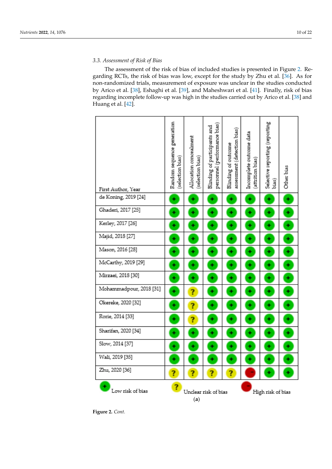## *3.3. Assessment of Risk of Bias 3.3. Assessment of Risk of Bias*

The assessment of the risk of bias of included studies is presented in Figure 2. Re-The assessment of the risk of bias of included studies is presented in Figure 2. [Re](#page-11-0)garding RCTs, the risk of bias was low, except for the study by Zhu et al. [\[36\]](#page-22-0). As for garding RCTs, the risk of bias was low, except for the study by Zhu et al. [36]. As for nonnon-randomized trials, measurement of exposure was unclear in the studies conducted by Arico et al. [\[38\]](#page-22-2), Eshaghi et al. [\[39\]](#page-22-5), and Maheshwari et al. [\[41\]](#page-22-3). Finally, risk of bias regarding incomplete follow-up was high in the studies carried out by Arico et al. [\[38\]](#page-22-2) and ing incomplete follow-up was high in the studies carried out by Arico et al. [38] and Huang et al. [\[42\]](#page-22-4). Huang et al. [42].

| First Author, Year      | Random sequence generation<br>selection bias | Allocation concealment<br>selection bias | personnel (performance bias)<br>Blinding of participants and | assessment (detection bias)<br>Blinding of outcome | Incomplete outcome data<br>attrition bias) | Selective reporting (reporting<br>bias) | Other bias |
|-------------------------|----------------------------------------------|------------------------------------------|--------------------------------------------------------------|----------------------------------------------------|--------------------------------------------|-----------------------------------------|------------|
| de Koning, 2019 [24]    | ٠                                            | ٠                                        | ٠                                                            | ٠                                                  | ٠                                          | ٠                                       | ٠          |
| Ghaderi, 2017 [25]      | ٠                                            | ٠                                        | ٠                                                            | ٠                                                  | ٠                                          | ٠                                       | ٠          |
| Kerley, 2017 [26]       | ٠                                            | ٠                                        | ٠                                                            | ٠                                                  | ٠                                          | ٠                                       | ۰          |
| Majid, 2018 [27]        | ٠                                            | ٠                                        | ٠                                                            | ٠                                                  | ٠                                          | ٠                                       | ۰          |
| Mason, 2016 [28]        | ٠                                            | ٠                                        | ۰                                                            | ٠                                                  | ٠                                          | ٠                                       | ۰          |
| McCarthy, 2019 [29]     | ٠                                            | ٠                                        | ٠                                                            | ٠                                                  | ٠                                          | ٠                                       | ۰          |
| Mirzaei, 2018 [30]      | ۰                                            | ٠                                        | ۰                                                            | ۰                                                  | ۰                                          | ۰                                       | ٠          |
| Mohammadpour, 2018 [31] | ٠                                            | ?                                        | ٠                                                            | ٠                                                  | ٠                                          | ٠                                       | ۰          |
| Okereke, 2020 [32]      | ۰                                            | ?                                        | ٠                                                            | ٠                                                  | ٠                                          | ٠                                       | ۰          |
| Rorie, 2014 [33]        |                                              | ?                                        |                                                              | ٠                                                  |                                            | ٠                                       | ♦          |
| Sharifan, 2020 [34]     |                                              | ٠                                        |                                                              | ٠                                                  |                                            | ٠                                       | ٠          |
| Slow, 2014 [37]         | ٠                                            | ٠                                        | ۰                                                            | ٠                                                  | ۰                                          | ٠                                       | ٠          |
| Wali, 2019 [35]         | ٠                                            | ٠                                        | ٠                                                            | ٠                                                  | ٠                                          | ♦                                       | ٠          |
| Zhu, 2020 [36]          | ?                                            | ?                                        | ?                                                            | ?                                                  |                                            | ٠                                       | ٠          |
| ۰<br>Low risk of bias   | ?                                            | (a)                                      | Unclear risk of bias                                         |                                                    | High risk of bias                          |                                         |            |

**Figure 2.** *Cont.*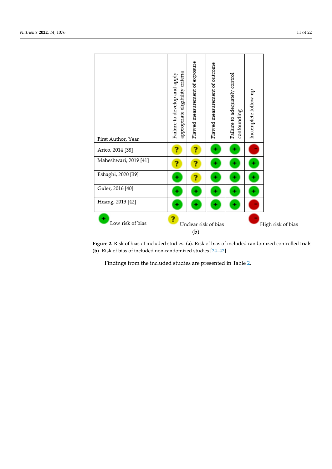<span id="page-11-0"></span>

|                       | appropriate eligibility criteria<br>Failure to develop and apply | Flawed measurement of exposure | Flawed measurement of outcome | Failure to adequately control<br>confounding | Incomplete follow-up |  |
|-----------------------|------------------------------------------------------------------|--------------------------------|-------------------------------|----------------------------------------------|----------------------|--|
| First Author, Year    |                                                                  |                                |                               |                                              |                      |  |
| Arico, 2014 [38]      | ?                                                                | ?                              |                               |                                              |                      |  |
| Maheshwari, 2019 [41] | ?                                                                | ?                              |                               |                                              |                      |  |
| Eshaghi, 2020 [39]    |                                                                  |                                |                               |                                              |                      |  |
| Guler, 2016 [40]      |                                                                  |                                |                               |                                              |                      |  |
| Huang, 2013 [42]      |                                                                  |                                | ۰                             |                                              |                      |  |
| ٠<br>Low risk of bias |                                                                  | High risk of bias              |                               |                                              |                      |  |

Figure 2. Risk of bias of included studies. (a). Risk of bias of included randomized controlled trials. (**b**). Risk of bias of included non-randomized studies [24–42]. (**b**). Risk of bias of included non-randomized studies [\[24](#page-21-11)[–42\]](#page-22-4).

Findings from the included studies are presented in Table 2. Findings from the included studies are presented in Table [2.](#page-16-0)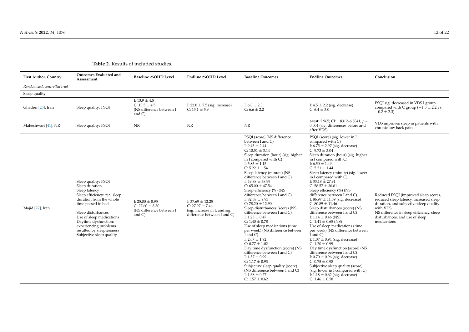| <b>First Author, Country</b> | <b>Outcomes Evaluated and</b><br>Assessment                                                                                                                                                                                                                                                         | Baseline 25OHD Level                                                                | Endline 25OHD Level                                                                                         | <b>Baseline Outcomes</b>                                                                                                                                                                                                                                                                                                                                                                                                                                                                                                                                                                                                                                                                                                                                                                                                                                                                                                         | <b>Endline Outcomes</b>                                                                                                                                                                                                                                                                                                                                                                                                                                                                                                                                                                                                                                                                                                                                                                                                                                                                                                                                                                                                      | Conclusion                                                                                                                                                                                                                         |
|------------------------------|-----------------------------------------------------------------------------------------------------------------------------------------------------------------------------------------------------------------------------------------------------------------------------------------------------|-------------------------------------------------------------------------------------|-------------------------------------------------------------------------------------------------------------|----------------------------------------------------------------------------------------------------------------------------------------------------------------------------------------------------------------------------------------------------------------------------------------------------------------------------------------------------------------------------------------------------------------------------------------------------------------------------------------------------------------------------------------------------------------------------------------------------------------------------------------------------------------------------------------------------------------------------------------------------------------------------------------------------------------------------------------------------------------------------------------------------------------------------------|------------------------------------------------------------------------------------------------------------------------------------------------------------------------------------------------------------------------------------------------------------------------------------------------------------------------------------------------------------------------------------------------------------------------------------------------------------------------------------------------------------------------------------------------------------------------------------------------------------------------------------------------------------------------------------------------------------------------------------------------------------------------------------------------------------------------------------------------------------------------------------------------------------------------------------------------------------------------------------------------------------------------------|------------------------------------------------------------------------------------------------------------------------------------------------------------------------------------------------------------------------------------|
| Randomized, controlled trial |                                                                                                                                                                                                                                                                                                     |                                                                                     |                                                                                                             |                                                                                                                                                                                                                                                                                                                                                                                                                                                                                                                                                                                                                                                                                                                                                                                                                                                                                                                                  |                                                                                                                                                                                                                                                                                                                                                                                                                                                                                                                                                                                                                                                                                                                                                                                                                                                                                                                                                                                                                              |                                                                                                                                                                                                                                    |
| Sleep quality                |                                                                                                                                                                                                                                                                                                     |                                                                                     |                                                                                                             |                                                                                                                                                                                                                                                                                                                                                                                                                                                                                                                                                                                                                                                                                                                                                                                                                                                                                                                                  |                                                                                                                                                                                                                                                                                                                                                                                                                                                                                                                                                                                                                                                                                                                                                                                                                                                                                                                                                                                                                              |                                                                                                                                                                                                                                    |
| Ghaderi [25], Iran           | Sleep quality: PSQI                                                                                                                                                                                                                                                                                 | I: $13.9 \pm 4.5$<br>$C: 13.5 \pm 4.5$<br>(NS difference between I<br>and $C$ )     | I: $22.0 \pm 7.5$ (sig. increase)<br>C: $13.1 \pm 5.9$                                                      | I: $6.0 \pm 2.3$<br>C: $6.6 \pm 2.2$                                                                                                                                                                                                                                                                                                                                                                                                                                                                                                                                                                                                                                                                                                                                                                                                                                                                                             | I: $4.5 \pm 2.2$ (sig. decrease)<br>$C: 6.4 \pm 3.0$                                                                                                                                                                                                                                                                                                                                                                                                                                                                                                                                                                                                                                                                                                                                                                                                                                                                                                                                                                         | PSQI sig. decreased in VDS I group<br>compared with C group $(-1.5 \pm 2.2 \text{ vs.})$<br>$-0.2 \pm 2.3$                                                                                                                         |
| Maheshwari [41], NR          | Sleep quality: PSQI                                                                                                                                                                                                                                                                                 | NR                                                                                  | NR                                                                                                          | $\ensuremath{\text{NR}}\xspace$                                                                                                                                                                                                                                                                                                                                                                                                                                                                                                                                                                                                                                                                                                                                                                                                                                                                                                  | t-test: 2.965; CI: 1.8312-6.8341; $p =$<br>0.004 (sig. differences before and<br>after VDS)                                                                                                                                                                                                                                                                                                                                                                                                                                                                                                                                                                                                                                                                                                                                                                                                                                                                                                                                  | VDS improves sleep in patients with<br>chronic low back pain                                                                                                                                                                       |
| Majid [27], Iran             | Sleep quality: PSQI<br>Sleep duration<br>Sleep latency<br>Sleep efficiency: real sleep<br>duration from the whole<br>time passed in bed<br>Sleep disturbances<br>Use of sleep medications<br>Daytime dysfunction:<br>experiencing problems<br>resulted by sleeplessness<br>Subjective sleep quality | I: $25.00 \pm 8.95$<br>$C: 27.60 \pm 8.30$<br>(NS difference between I<br>and $C$ ) | I: $37.69 \pm 12.25$<br>C: $27.97 \pm 7.46$<br>(sig. increase in I, and sig.<br>difference between I and C) | PSQI (score) (NS difference<br>between I and C)<br>I: $9.45 \pm 2.44$<br>C: $10.51 \pm 3.14$<br>Sleep duration (hour) (sig. higher<br>in I compared with C)<br>I: $5.83 \pm 1.15$<br>$C: 5.22 \pm 1.54$<br>Sleep latency (minute) (NS<br>difference between I and C)<br>I: $49.88 \pm 38.99$<br>$C: 65.00 \pm 47.54$<br>Sleep efficiency (%) (NS<br>difference between I and C)<br>I: $82.58 \pm 9.93$<br>C: $78.20 \pm 12.90$<br>Sleep disturbances (score) (NS<br>difference between I and C)<br>I: $1.23 \pm 0.47$<br>C: $1.40 \pm 0.78$<br>Use of sleep medications (time<br>per week) (NS difference between<br>$\tilde{I}$ and $\tilde{C}$ )<br>I: $2.07 \pm 1.92$<br>$C: 0.77 \pm 1.02$<br>Day time dysfunction (score) (NS<br>difference between I and C)<br>I: $1.57 \pm 0.99$<br>C: $1.17 \pm 0.93$<br>Subjective sleep quality (score)<br>(NS difference between I and C)<br>I: $1.68 \pm 0.77$<br>$C: 1.57 \pm 0.62$ | PSQI (score) (sig. lower in I<br>compared with C)<br>I: $6.75 \pm 2.97$ (sig. decrease)<br>$C: 9.73 \pm 3.04$<br>Sleep duration (hour) (sig. higher<br>in I compared with C)<br>I: $6.50 \pm 1.49$<br>$C: 5.21 \pm 1.44$<br>Sleep latency (minute) (sig. lower<br>in I compared with C)<br>I: $33.18 \pm 27.91$<br>C: $58.57 \pm 36.81$<br>Sleep efficiency (%) (NS<br>difference between I and C)<br>I: $86.97 \pm 11.39$ (sig. decrease)<br>$C: 80.89 \pm 11.46$<br>Sleep disturbances (score) (NS<br>difference between I and C)<br>I: $1.14 \pm 0.46$ (NS)<br>C: $1.41 \pm 0.65$ (NS)<br>Use of sleep medications (time<br>per week) (NS difference between<br>$\hat{I}$ and $\hat{C}$ )<br>I: $1.07 \pm 0.94$ (sig. decrease)<br>$C: 1.20 \pm 0.99$<br>Day time dysfunction (score) (NS<br>difference between I and C)<br>I: $0.70 \pm 0.96$ (sig. decrease)<br>$C: 0.75 \pm 0.98$<br>Subjective sleep quality (score)<br>(sig. lower in I compared with C)<br>I: $1.18 \pm 0.62$ (sig. decrease)<br>C: $1.46 \pm 0.58$ | Reduced PSQI (improved sleep score),<br>reduced sleep latency, increased sleep<br>duration, and subjective sleep quality<br>with VDS.<br>NS difference in sleep efficiency, sleep<br>disturbances, and use of sleep<br>medications |

## **Table 2.** Results of included studies.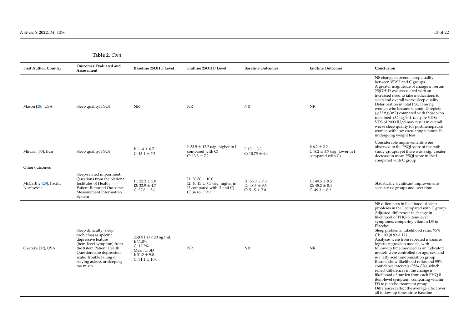| <b>First Author, Country</b>        | <b>Outcomes Evaluated and</b><br>Assessment                                                                                                                                                                                          | <b>Baseline 25OHD Level</b>                                                                                    | <b>Endline 25OHD Level</b>                                                                                                 | <b>Baseline Outcomes</b>                                      | <b>Endline Outcomes</b>                                                   | Conclusion                                                                                                                                                                                                                                                                                                                                                                                                                                                                                                                                                                                                                                                                                                                                                                                                                 |
|-------------------------------------|--------------------------------------------------------------------------------------------------------------------------------------------------------------------------------------------------------------------------------------|----------------------------------------------------------------------------------------------------------------|----------------------------------------------------------------------------------------------------------------------------|---------------------------------------------------------------|---------------------------------------------------------------------------|----------------------------------------------------------------------------------------------------------------------------------------------------------------------------------------------------------------------------------------------------------------------------------------------------------------------------------------------------------------------------------------------------------------------------------------------------------------------------------------------------------------------------------------------------------------------------------------------------------------------------------------------------------------------------------------------------------------------------------------------------------------------------------------------------------------------------|
| Mason [28], USA                     | Sleep quality: PSQI                                                                                                                                                                                                                  | NR                                                                                                             | NR                                                                                                                         | NR                                                            | NR                                                                        | NS change in overall sleep quality<br>between VDS I and C groups<br>A greater magnitude of change in serum<br>25(OH)D was associated with an<br>increased need to take medications to<br>sleep and overall worse sleep quality<br>Deterioration in total PSQI among<br>women who became vitamin D replete<br>$(\geq 32 \text{ ng/mL})$ compared with those who<br>remained <32 ng/mL (despite VDS)<br>VDS of 2000 IU/d may result in overall<br>worse sleep quality for postmenopausal<br>women with low circulating vitamin D<br>undergoing weight loss                                                                                                                                                                                                                                                                   |
| Mirzaei [30], Iran                  | Sleep quality: PSQI                                                                                                                                                                                                                  | I: $11.4 \pm 6.7$<br>$C: 13.4 \pm 7.3$                                                                         | I: 33.5 $\pm$ 12.2 (sig. higher in I<br>compared with C)<br>C: $13.3 \pm 7.2$                                              | I: $10 \pm 3.3$<br>C: $10.75 \pm 4.4$                         | I: $6.2 \pm 2.2$<br>C: $8.2 \pm 3.7$ (sig. lower in I<br>compared with C) | Considerable improvements were<br>observed in the PSQI score of the both<br>study groups; yet there was a sig. greater<br>decrease in mean PSOI score in the I<br>compared with C group                                                                                                                                                                                                                                                                                                                                                                                                                                                                                                                                                                                                                                    |
| Other outcomes                      |                                                                                                                                                                                                                                      |                                                                                                                |                                                                                                                            |                                                               |                                                                           |                                                                                                                                                                                                                                                                                                                                                                                                                                                                                                                                                                                                                                                                                                                                                                                                                            |
| McCarthy [29], Pacific<br>Northwest | Sleep-related impairment:<br><b>Ouestions from the National</b><br>Institutes of Health<br>Patient-Reported Outcomes<br>Measurement Information<br>System                                                                            | $I1: 22.2 \pm 5.0$<br>$I2: 22.9 \pm 4.7$<br>$C: 37.8 \pm 5.6$                                                  | $I1: 30.80 \pm 10.0$<br>I2: $40.15 \pm 7.5$ (sig. higher in<br>I2 compared with I1 and C)<br>C: $34.\overline{46} \pm 9.9$ | I1: $53.0 \pm 7.0$<br>I2: $48.3 \pm 9.5$<br>$C: 51.5 \pm 7.0$ | $11:49.5 \pm 9.5$<br>I2: $45.2 \pm 8.4$<br>$C: 49.3 \pm 8.2$              | Statistically significant improvements<br>seen across groups and over time                                                                                                                                                                                                                                                                                                                                                                                                                                                                                                                                                                                                                                                                                                                                                 |
| Okereke [32], USA                   | Sleep difficulty (sleep<br>problems) as specific<br>depressive feature<br>(item-level symptom) from<br>the 8 item Patient Health<br>Ouestionnaire depression<br>scale: Trouble falling or<br>staying asleep, or sleeping<br>too much | $25(OH)D < 20$ ng/mL<br>I: $11.0\%$<br>$C: 12.3\%$<br>Mean $\pm$ SD<br>I: $31.2 \pm 9.8$<br>$C: 31.1 \pm 10.0$ | NR                                                                                                                         | <b>NR</b>                                                     | NR                                                                        | NS differences in likelihood of sleep<br>problems in the I compared with C group<br>Adjusted differences in change in<br>likelihood of PHO-8 item-level<br>symptoms, comparing vitamin D3 to<br>Placebo:<br>Sleep problems: Likelihood ratio: 95%<br>$CI: 1.00 (0.89 - 1.12)$<br>Analyses were from repeated measures<br>logistic regression models, with<br>follow-up time modeled as an indicator;<br>models were controlled for age, sex, and<br>n-3 fatty acid randomization group.<br>Results show likelihood ratios and 95%<br>confidence intervals (95% CIs), which<br>reflect differences in the change in<br>likelihood of burden from each PHQ-8<br>item-level symptom, comparing vitamin<br>D3 to placebo treatment group.<br>Differences reflect the average effect over<br>all follow-up times since baseline |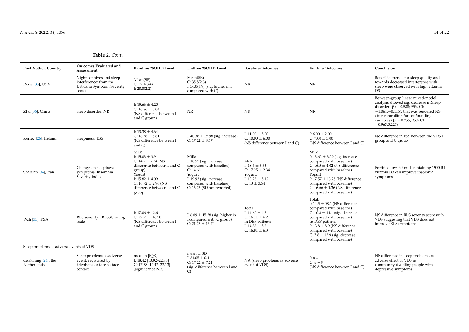| <b>First Author, Country</b>            | Outcomes Evaluated and<br>Assessment                                                        | <b>Baseline 25OHD Level</b>                                                                                                                                                                       | Endline 25OHD Level                                                                                                                                                        | <b>Baseline Outcomes</b>                                                                                         | <b>Endline Outcomes</b>                                                                                                                                                                                                                                                                 | Conclusion                                                                                                                                                                                                                                                         |
|-----------------------------------------|---------------------------------------------------------------------------------------------|---------------------------------------------------------------------------------------------------------------------------------------------------------------------------------------------------|----------------------------------------------------------------------------------------------------------------------------------------------------------------------------|------------------------------------------------------------------------------------------------------------------|-----------------------------------------------------------------------------------------------------------------------------------------------------------------------------------------------------------------------------------------------------------------------------------------|--------------------------------------------------------------------------------------------------------------------------------------------------------------------------------------------------------------------------------------------------------------------|
| Rorie [33], USA                         | Nights of hives and sleep<br>interference: from the<br>Urticaria Symptom Severity<br>scores | Mean(SE)<br>C: 37.1(3.4)<br>I: $28.8(2.2)$                                                                                                                                                        | Mean(SE)<br>C: 35.8(2.3)<br>I: $56.0(3.9)$ (sig. higher in I<br>compared with C)                                                                                           | <b>NR</b>                                                                                                        | NR                                                                                                                                                                                                                                                                                      | Beneficial trends for sleep quality and<br>towards decreased interference with<br>sleep were observed with high vitamin<br>D <sub>3</sub>                                                                                                                          |
| Zhu [36], China                         | Sleep disorder: NR                                                                          | I: $15.66 \pm 4.20$<br>C: $16.86 \pm 5.04$<br>(NS difference between I<br>and C group)                                                                                                            | NR                                                                                                                                                                         | NR.                                                                                                              | NR                                                                                                                                                                                                                                                                                      | Between-group linear mixed-model<br>analysis showed sig. decrease in Sleep<br>disorder ( $\beta$ : -0.588; 95% CI:<br>$-1.061$ , $-0.115$ ), that was rendered NS<br>after controlling for confounding<br>variables ( $\beta$ : -0.355; 95% CI:<br>$-0.963, 0.227$ |
| Kerley [26], Ireland                    | Sleepiness: ESS                                                                             | I: $13.38 \pm 4.64$<br>C: $16.58 \pm 8.81$<br>(NS difference between I<br>and $C$ )                                                                                                               | I: $40.38 \pm 15.98$ (sig. increase)<br>C: $17.22 \pm 8.57$                                                                                                                | I: $11.00 \pm 5.00$<br>C: $10.00 \pm 6.00$<br>(NS difference between I and C)                                    | I: $6.00 \pm 2.00$<br>$C: 7.00 \pm 5.00$<br>(NS difference between I and C)                                                                                                                                                                                                             | No difference in ESS between the VDS I<br>group and C group                                                                                                                                                                                                        |
| Sharifan [34], Iran                     | Changes in sleepiness<br>symptoms: Insomnia<br>Severity Index                               | Milk<br>I: $15.03 \pm 3.91$<br>C: $14.9 \pm 7.34$ (NS<br>difference between I and C<br>group)<br>Yogurt<br>I: $15.82 \pm 4.09$<br>$C: 16.72 \pm 2.96$ (NS<br>difference between I and C<br>group) | Milk:<br>I: $18.57$ (sig. increase<br>compared with baseline)<br>C: 14.66<br>Yogurt:<br>I: 19.93 (sig. increase<br>compared with baseline)<br>$C: 16.26$ (SD not reported) | Milk:<br>I: $18.5 \pm 3.33$<br>C: $17.25 \pm 2.34$<br>Yogurt:<br>I: $13.28 \pm 5.12$<br>C: $13 \pm 3.54$         | Milk<br>I: $13.62 \pm 3.29$ (sig. increase<br>compared with baseline)<br>C: $16.5 \pm 4.02$ (NS difference<br>compared with baseline)<br>Yogurt<br>I: $17.57 \pm 13.28$ (NS difference<br>compared with baseline)<br>C: $16.66 \pm 1.36$ (NS difference<br>compared with baseline)      | Fortified low-fat milk containing 1500 IU<br>vitamin D3 can improve insomnia<br>symptoms                                                                                                                                                                           |
| Wali [35], KSA                          | RLS severity: IRLSSG rating<br>scale                                                        | I: $17.06 \pm 12.6$<br>$C: 22.95 \pm 16.98$<br>(NS difference between I<br>and C group)                                                                                                           | I: $6.09 \pm 15.38$ (sig. higher in<br>I compared with C group)<br>$C: 21.23 \pm 13.74$                                                                                    | Total<br>I: $14.60 \pm 4.5$<br>C: $16.11 \pm 6.2$<br>In DEF patients<br>I: $14.82 \pm 5.2$<br>C: $16.81 \pm 6.3$ | Total:<br>I: $14.5 \pm 08.2$ (NS difference<br>compared with baseline)<br>C: $10.3 \pm 11.1$ (sig. decrease<br>compared with baseline)<br>In DEF patients<br>I: $13.8 \pm 8.9$ (NS difference<br>compared with baseline)<br>C: $7.8 \pm 13.9$ (sig. decrease<br>compared with baseline) | NS difference in RLS severity score with<br>VDS suggesting that VDS does not<br>improve RLS symptoms                                                                                                                                                               |
| Sleep problems as adverse events of VDS |                                                                                             |                                                                                                                                                                                                   |                                                                                                                                                                            |                                                                                                                  |                                                                                                                                                                                                                                                                                         |                                                                                                                                                                                                                                                                    |
| de Koning [24], the<br>Netherlands      | Sleep problems as adverse<br>event: registered by<br>telephone or face-to-face<br>contact   | median [IOR]<br>I: 18.42 [13.02-22.83]<br>C: 17.68 [14.42-22.13]<br>(significance NR)                                                                                                             | mean $\pm$ SD<br>I: $34.05 \pm 6.41$<br>$C: 17.22 \pm 7.21$<br>(sig. difference between I and<br>$\mathcal{C}$                                                             | NA (sleep problems as adverse<br>event of VDS)                                                                   | I: $n = 1$<br>$C: n = 5$<br>(NS difference between I and C)                                                                                                                                                                                                                             | NS difference in sleep problems as<br>adverse effect of VDS in<br>community-dwelling people with<br>depressive symptoms                                                                                                                                            |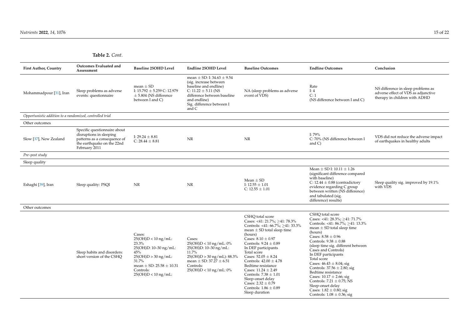| <b>First Author, Country</b>                             | Outcomes Evaluated and<br>Assessment                                                                                                   | <b>Baseline 25OHD Level</b>                                                                                                                                                            | Endline 25OHD Level                                                                                                                                                                                   | <b>Baseline Outcomes</b>                                                                                                                                                                                                                                                                                                                                                                                                                                                       | <b>Endline Outcomes</b>                                                                                                                                                                                                                                                                                                                                                                                                                                                                                                                                  | Conclusion                                                                                                 |
|----------------------------------------------------------|----------------------------------------------------------------------------------------------------------------------------------------|----------------------------------------------------------------------------------------------------------------------------------------------------------------------------------------|-------------------------------------------------------------------------------------------------------------------------------------------------------------------------------------------------------|--------------------------------------------------------------------------------------------------------------------------------------------------------------------------------------------------------------------------------------------------------------------------------------------------------------------------------------------------------------------------------------------------------------------------------------------------------------------------------|----------------------------------------------------------------------------------------------------------------------------------------------------------------------------------------------------------------------------------------------------------------------------------------------------------------------------------------------------------------------------------------------------------------------------------------------------------------------------------------------------------------------------------------------------------|------------------------------------------------------------------------------------------------------------|
| Mohammadpour [31], Iran                                  | Sleep problems as adverse<br>events: questionnaire                                                                                     | mean $\pm$ SD<br>I: 15.792 $\pm$ 5.259 C: 12.979<br>$\pm$ 5.804 (NS difference<br>between I and C)                                                                                     | mean $\pm$ SD: I: 34.63 $\pm$ 9.54<br>(sig. increase between<br>baseline and endline)<br>$C: 11.22 \pm 5.11$ (NS<br>difference between baseline<br>and endline)<br>Sig. difference between I<br>and C | NA (sleep problems as adverse<br>event of VDS)                                                                                                                                                                                                                                                                                                                                                                                                                                 | Rate<br>I: $4$<br>C: 1<br>(NS difference between I and C)                                                                                                                                                                                                                                                                                                                                                                                                                                                                                                | NS difference in sleep problems as<br>adverse effect of VDS as adjunctive<br>therapy in children with ADHD |
| Opportunistic addition to a randomized, controlled trial |                                                                                                                                        |                                                                                                                                                                                        |                                                                                                                                                                                                       |                                                                                                                                                                                                                                                                                                                                                                                                                                                                                |                                                                                                                                                                                                                                                                                                                                                                                                                                                                                                                                                          |                                                                                                            |
| Other outcomes                                           |                                                                                                                                        |                                                                                                                                                                                        |                                                                                                                                                                                                       |                                                                                                                                                                                                                                                                                                                                                                                                                                                                                |                                                                                                                                                                                                                                                                                                                                                                                                                                                                                                                                                          |                                                                                                            |
| Slow [37], New Zealand                                   | Specific questionnaire about<br>disruptions in sleeping<br>patterns as a consequence of<br>the earthquake on the 22nd<br>February 2011 | I: $29.24 \pm 8.81$<br>C: $28.44 \pm 8.81$                                                                                                                                             | NR                                                                                                                                                                                                    | NR                                                                                                                                                                                                                                                                                                                                                                                                                                                                             | I: $79%$<br>C: 70% (NS difference between I<br>and $C$ )                                                                                                                                                                                                                                                                                                                                                                                                                                                                                                 | VDS did not reduce the adverse impact<br>of earthquakes in healthy adults                                  |
| Pre-post study                                           |                                                                                                                                        |                                                                                                                                                                                        |                                                                                                                                                                                                       |                                                                                                                                                                                                                                                                                                                                                                                                                                                                                |                                                                                                                                                                                                                                                                                                                                                                                                                                                                                                                                                          |                                                                                                            |
| Sleep quality                                            |                                                                                                                                        |                                                                                                                                                                                        |                                                                                                                                                                                                       |                                                                                                                                                                                                                                                                                                                                                                                                                                                                                |                                                                                                                                                                                                                                                                                                                                                                                                                                                                                                                                                          |                                                                                                            |
| Eshaghi [39], Iran                                       | Sleep quality: PSQI                                                                                                                    | NR                                                                                                                                                                                     | NR                                                                                                                                                                                                    | Mean $\pm$ SD<br>I: $12.55 \pm 1.01$<br>C: $12.55 \pm 1.01$                                                                                                                                                                                                                                                                                                                                                                                                                    | Mean $\pm$ SD I: 10.11 $\pm$ 1.26<br>(significant difference compared<br>with baseline)<br>C: $12.44 \pm 0.88$ (contradictory<br>evidence regarding C group<br>between written (NS difference)<br>and tabulated (sig.<br>difference) results)                                                                                                                                                                                                                                                                                                            | Sleep quality sig. improved by 19.1%<br>with VDS                                                           |
| Other outcomes                                           |                                                                                                                                        |                                                                                                                                                                                        |                                                                                                                                                                                                       |                                                                                                                                                                                                                                                                                                                                                                                                                                                                                |                                                                                                                                                                                                                                                                                                                                                                                                                                                                                                                                                          |                                                                                                            |
|                                                          | Sleep habits and disorders:<br>short version of the CSHO                                                                               | Cases:<br>$25(OH)D < 10$ ng/mL:<br>23.3%<br>$25(OH)D: 10-30$ ng/mL:<br>45%<br>$25(OH)D > 30$ ng/mL:<br>31.7%<br>mean $\pm$ SD: 25.58 $\pm$ 10.31<br>Controls:<br>$25(OH)D < 10$ ng/mL: | Cases:<br>$25(OH)D < 10$ ng/mL: $0\%$<br>$25(OH)D: 10-30 mg/mL$<br>11.7%<br>$25(OH)D > 30$ ng/mL): 88.3%<br>mean $\pm$ SD: 37.27 $\pm$ 6.51<br>Controls:<br>$25(OH)D < 10$ ng/mL: 0%                  | CSHQ total score<br>Cases: <41: 21.7%; ≥41: 78.3%<br>Controls: <41: $66.7\%$ ; $\geq$ 41: 33.3%<br>mean $\pm$ SD total sleep time<br>(hours)<br>Cases: $8.10 \pm 0.97$<br>Controls: $9.24 \pm 0.89$<br>In DEF participants<br>Total score<br>Cases: $52.05 \pm 8.24$<br>Controls: $42.00 \pm 4.78$<br>Bedtime resistance<br>Cases: $11.24 \pm 2.49$<br>Controls: $7.38 \pm 1.01$<br>Sleep-onset delay<br>Cases: $2.32 \pm 0.79$<br>Controls: $1.86 \pm 0.89$<br>Sleep duration | CSHO total score<br>Cases: <41: 28.3%; $\geq$ 41: 71.7%<br>Controls: <41: 86.7%; >41: 13.3%<br>mean $\pm$ SD total sleep time<br>(hours)<br>Cases: $8.58 \pm 0.96$<br>Controls: $9.38 \pm 0.88$<br>(sleep time sig. different between<br>Cases and Controls)<br>In DEF participants<br>Total score<br>Cases: $46.43 \pm 8.04$ ; sig<br>Controls: $37.56 \pm 2.80$ ; sig<br>Bedtime resistance<br>Cases: $10.17 \pm 2.66$ ; sig<br>Controls: $7.21 \pm 0.75$ ; NS<br>Sleep-onset delay<br>Cases: $1.82 \pm 0.80$ ; sig<br>Controls: $1.08 \pm 0.36$ ; sig |                                                                                                            |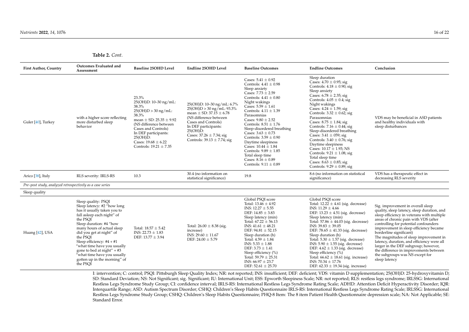|  | Table 2. Cont. |  |
|--|----------------|--|
|--|----------------|--|

| <b>First Author, Country</b>                              | Outcomes Evaluated and<br>Assessment                                                                                                                                                                                                                                                                                                                                                                  | <b>Baseline 25OHD Level</b>                                                                                                                                                                                                                                   | <b>Endline 25OHD Level</b>                                                                                                                                                                                                                                | <b>Baseline Outcomes</b>                                                                                                                                                                                                                                                                                                                                                                                                                                                                                                | <b>Endline Outcomes</b>                                                                                                                                                                                                                                                                                                                                                                                                                                                                                                                                                                                                    | Conclusion                                                                                                                                                                                                                                                                                                                                                                                                                                                                                                          |
|-----------------------------------------------------------|-------------------------------------------------------------------------------------------------------------------------------------------------------------------------------------------------------------------------------------------------------------------------------------------------------------------------------------------------------------------------------------------------------|---------------------------------------------------------------------------------------------------------------------------------------------------------------------------------------------------------------------------------------------------------------|-----------------------------------------------------------------------------------------------------------------------------------------------------------------------------------------------------------------------------------------------------------|-------------------------------------------------------------------------------------------------------------------------------------------------------------------------------------------------------------------------------------------------------------------------------------------------------------------------------------------------------------------------------------------------------------------------------------------------------------------------------------------------------------------------|----------------------------------------------------------------------------------------------------------------------------------------------------------------------------------------------------------------------------------------------------------------------------------------------------------------------------------------------------------------------------------------------------------------------------------------------------------------------------------------------------------------------------------------------------------------------------------------------------------------------------|---------------------------------------------------------------------------------------------------------------------------------------------------------------------------------------------------------------------------------------------------------------------------------------------------------------------------------------------------------------------------------------------------------------------------------------------------------------------------------------------------------------------|
| Guler [40], Turkey                                        | with a higher score reflecting<br>more disturbed sleep<br>behavior                                                                                                                                                                                                                                                                                                                                    | 23.3%<br>25(OH)D: 10-30 ng/mL:<br>38.3%<br>$25(OH)D > 30$ ng/mL:<br>38.3%<br>mean $\pm$ SD: 25.35 $\pm$ 9.92<br>(NS difference between<br>Cases and Controls)<br>In DEF participants:<br>$25(OH)D$ :<br>Cases: $19.68 \pm 6.22$<br>Controls: $19.21 \pm 7.35$ | 25(OH)D: 10-30 ng/mL: 6.7%<br>$25(OH)D > 30$ ng/mL: 93.3%<br>mean $\pm$ SD: 37.15 $\pm$ 6.78<br>(NS difference between<br>Cases and Controls)<br>In DEF participants:<br>$25(OH)D$ :<br>Cases: $37.26 \pm 7.34$ ; sig<br>Controls: $39.13 \pm 7.74$ ; sig | Cases: $5.41 \pm 0.92$<br>Controls: $4.41 \pm 0.98$<br>Sleep anxiety<br>Cases: $7.73 \pm 2.59$<br>Controls: $4.41 \pm 0.80$<br>Night wakings<br>Cases: $5.59 \pm 1.61$<br>Controls: $4.11 \pm 1.39$<br>Parasomnias<br>Cases: $9.80 \pm 2.52$<br>Controls: $8.51 \pm 1.76$<br>Sleep-disordered breathing<br>Cases: $3.63 \pm 0.73$<br>Controls: $3.59 \pm 0.90$<br>Daytime sleepiness<br>Cases: $10.44 \pm 1.84$<br>Controls: $9.89 \pm 1.85$<br>Total sleep time<br>Cases: $8.16 \pm 0.89$<br>Controls: $9.11 \pm 0.89$ | Sleep duration<br>Cases: $4.70 \pm 0.95$ ; sig<br>Controls: $4.18 \pm 0.90$ ; sig<br>Sleep anxiety<br>Cases: $6.78 \pm 2.35$ ; sig<br>Controls: $4.05 \pm 0.4$ ; sig<br>Night wakings<br>Cases: $4.24 \pm 1.59$ ; sig<br>Controls: $3.32 \pm 0.62$ ; sig<br>Parasomnias<br>Cases: $8.75 \pm 1.84$ ; sig<br>Controls: $7.16 \pm 0.44$ ; sig<br>Sleep-disordered breathing<br>Cases: $3.41 \pm 059$ ; sig<br>Controls: $3.40 \pm 0.76$ ; sig<br>Daytime sleepiness<br>Cases: $10.17 \pm 1.93$ ; NS<br>Controls: $9.21 \pm 1.08$ ; sig<br>Total sleep time<br>Cases: $8.63 \pm 0.85$ ; sig<br>Controls: $9.29 \pm 0.89$ ; sig | VDS may be beneficial in ASD patients<br>and healthy individuals with<br>sleep disturbances                                                                                                                                                                                                                                                                                                                                                                                                                         |
| Arico [38], Italy                                         | RLS severity: IRLS-RS                                                                                                                                                                                                                                                                                                                                                                                 | 10.3                                                                                                                                                                                                                                                          | 30.4 (no information on<br>statistical significance)                                                                                                                                                                                                      | 19.8                                                                                                                                                                                                                                                                                                                                                                                                                                                                                                                    | 8.6 (no information on statistical<br>significance)                                                                                                                                                                                                                                                                                                                                                                                                                                                                                                                                                                        | VDS has a therapeutic effect in<br>decreasing RLS severity                                                                                                                                                                                                                                                                                                                                                                                                                                                          |
| Pre-post study, analyzed retrospectively as a case series |                                                                                                                                                                                                                                                                                                                                                                                                       |                                                                                                                                                                                                                                                               |                                                                                                                                                                                                                                                           |                                                                                                                                                                                                                                                                                                                                                                                                                                                                                                                         |                                                                                                                                                                                                                                                                                                                                                                                                                                                                                                                                                                                                                            |                                                                                                                                                                                                                                                                                                                                                                                                                                                                                                                     |
| Sleep quality                                             |                                                                                                                                                                                                                                                                                                                                                                                                       |                                                                                                                                                                                                                                                               |                                                                                                                                                                                                                                                           |                                                                                                                                                                                                                                                                                                                                                                                                                                                                                                                         |                                                                                                                                                                                                                                                                                                                                                                                                                                                                                                                                                                                                                            |                                                                                                                                                                                                                                                                                                                                                                                                                                                                                                                     |
| Huang [42], USA                                           | Sleep quality: PSQI<br>Sleep latency: #2 "how long<br>has it usually taken you to<br>fall asleep each night" of<br>the PSOI<br>Sleep duration: #4 "how<br>many hours of actual sleep<br>did you get at night" of<br>the PSOI<br>Sleep efficiency: $#4 + #1$<br>"what time have you usually<br>gone to bed at night" $+$ #3<br>"what time have you usually<br>gotten up in the morning" of<br>the PSQI | Total: $18.57 \pm 5.42$<br>INS: $22.73 \pm 1.83$<br>DEF: $13.77 \pm 3.94$                                                                                                                                                                                     | Total: $26.00 \pm 8.38$ (sig.<br>increase)<br>INS: $29.60 \pm 11.67$<br>DEF: $24.00 \pm 5.79$                                                                                                                                                             | Global PSQI score<br>Total: $13.46 \pm 4.92$<br>INS: $12.27 \pm 5.55$<br>DEF: $14.85 \pm 3.83$<br>Sleep latency (min)<br>Total: $67.22 \pm 56.13$<br>INS: $41.61 \pm 48.21$<br>DEF: $94.81 \pm 52.15$<br>Sleep duration (h)<br>Total: $4.59 \pm 1.84$<br>INS: $5.33 \pm 1.88$<br>DEF: $3.73 \pm 1.41$<br>Sleep efficiency (%)<br>Total: $59.79 \pm 25.31$<br>INS: $66.97 \pm 23.7$<br>DEF: $52.61 \pm 25.70$                                                                                                            | Global PSOI score<br>Total: $12.22 \pm 4.61$ (sig. decrease)<br>INS: $11.29 \pm 4.66$<br>DEF: $13.23 \pm 4.51$ (sig. decrease)<br>Sleep latency (min)<br>Total: $57.86 \pm 44.03$ (sig. decrease)<br>INS: $39.83 \pm 39.05$<br>DEF: $78.65 \pm 41.33$ (sig. decrease)<br>Sleep duration (h)<br>Total: $5.30 \pm 1.57$ (sig. decrease)<br>INS: $5.90 \pm 1.55$ (sig. decrease)<br>DEF: $4.62 \pm 1.33$ (sig. decrease)<br>Sleep efficiency (%)<br>Total: $66.62 \pm 18.61$ (sig. increase)<br>INS: $70.34 \pm 17.76$<br>DEF: $62.33 \pm 19.34$ (sig. increase)                                                              | Sig. improvement in overall sleep<br>quality, sleep latency, sleep duration, and<br>sleep efficiency in veterans with multiple<br>areas of chronic pain with VDS (after<br>controlling for potential confounders<br>improvement in sleep efficiency became<br>borderline significant)<br>The magnitudes of sleep improvement in<br>latency, duration, and efficiency were all<br>larger in the DEF subgroup; however,<br>the difference in improvements between<br>the subgroups was NS except for<br>sleep latency |

<span id="page-16-0"></span>I: intervention; C: control; PSQI: Pittsburgh Sleep Quality Index; NR: not reported; INS: insufficient; DEF: deficient; VDS: vitamin D supplementation; 25(OH)D: 25-hydroxyvitamin D; SD: Standard Deviation; NS: Not Significant; sig. Significant; IU: International Unit; ESS: Epworth Sleepiness Scale; NR: not reported; RLS: restless legs syndrome; IRLSSG: International Restless Legs Syndrome Study Group; CI: confidence interval; IRLS-RS: International Restless Legs Syndrome Rating Scale; ADHD: Attention Deficit Hyperactivity Disorder; IQR: Interquartile Range; ASD: Autism Spectrum Disorder; CSHQ: Children's Sleep Habits Questionnaire IRLS-RS: International Restless Legs Syndrome Rating Scale; IRLSSG: International Restless Legs Syndrome Study Group; CSHQ: Children's Sleep Habits Questionnaire; PHQ-8 Item: The 8 item Patient Health Questionnaire depression scale; NA: Not Applicable; SE: Standard Error.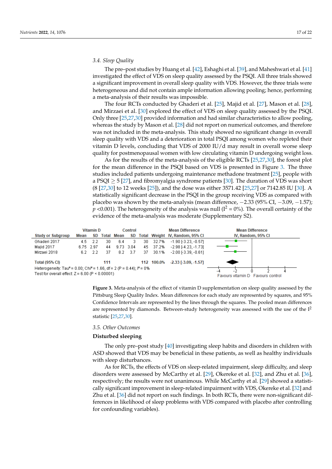## 3.4. Sleep Quality

The pre–post studies by Huang et al. [\[42\]](#page-22-4), Eshaghi et al. [\[39\]](#page-22-5), and Maheshwari et al. [\[41\]](#page-22-3) investigated the effect of VDS on sleep quality assessed by the PSQI. All three trials showed a significant improvement in overall sleep quality with VDS. However, the three trials were heterogeneous and did not contain ample information allowing pooling; hence, performing a meta-analysis of their results was impossible.<br>  $\frac{1}{2}$ 

The four RCTs conducted by Ghaderi et al. [\[25\]](#page-21-12), Majid et al. [\[27\]](#page-21-13), Mason et al. [\[28\]](#page-21-17),<br>11 die 11 die 1201 on 121 die 16 March on 12 die 12 die 12 die 12 die 12 die 12 die 12 die 12 die 12 die 12 di and Mirzaei et al. [\[30\]](#page-21-14) explored the effect of VDS on sleep quality assessed by the PSQI. Only three  $[25,27,30]$  $[25,27,30]$  $[25,27,30]$  provided information and had similar characteristics to allow pooling, whereas the study by Mason et al.  $[28]$  did not report on numerical outcomes, and therefore was not included in the meta-analysis. This study showed no significant change in overall sleep quality with VDS and a deterioration in total PSQI among women who repleted their vitamin D levels, concluding that VDS of 2000 IU/d may result in overall worse sleep quality for postmenopausal women with low circulating vitamin D undergoing weight loss.

As for the results of the meta-analysis of the eligible RCTs  $[25,27,30]$  $[25,27,30]$  $[25,27,30]$ , the forest plot for the mean difference in the PSQI based on VDS is presented in Figure [3.](#page-17-0) The three studies included patients undergoing maintenance methadone treatment [\[25\]](#page-21-12), people with a PSQI  $\geq$  5 [\[27\]](#page-21-13), and fibromyalgia syndrome patients [\[30\]](#page-21-14). The duration of VDS was short  $(8 [27,30]$  $(8 [27,30]$  $(8 [27,30]$  to 12 weeks [\[25\]](#page-21-12)), and the dose was either 3571.42 [\[25](#page-21-12)[,27\]](#page-21-13) or 7142.85 IU [\[30\]](#page-21-14). A statistically significant decrease in the PSQI in the group receiving VDS as compared with statistically significant decrease in the PSQI in the group receiving VDS as compared with placebo was shown by the meta-analysis (mean difference,  $-2.33$  (95% CI,  $-3.09$ ,  $-1.57$ );  $p$  <0.001). The heterogeneity of the analysis was null (I<sup>2</sup> = 0%). The overall certainty of the evidence of the meta-analysis was moderate (Supplementary S2). evidence of the meta-analysis was moderate (Supplementary 2).



<span id="page-17-0"></span>**Figure 3.** Meta-analysis of the effect of vitamin D supplementation on sleep quality assessed by the **Figure 3.** Meta-analysis of the effect of vitamin D supplementation on sleep quality assessed by the Pittsburg Sleep Quality Index. Mean differences for each study are represented by squares, and 95% Pittsburg Sleep Quality Index. Mean differences for each study are represented by squares, and 95% Confidence Intervals are represented by the lines through the squares. The pooled mean differences Confidence Intervals are represented by the lines through the squares. The pooled mean differences are represented by diamonds. Between-study heterogeneity was assessed with the use of the  $I^2$ tistic [25,2[7,30](#page-21-12)[\].](#page-21-13)  statistic [25,27[,30\]](#page-21-14).

## *3.5. Other Outcomes 3.5. Other Outcomes*

#### **Disturbed sleeping**

**Disturbed sleeping**  The only pre–post study [\[40\]](#page-22-7) investigating sleep habits and disorders in children with The only pre–post study [40] investigating sleep habits and disorders in children with ASD showed that VDS may be beneficial in these patients, as well as healthy individuals ASD showed that VDS may be beneficial in these patients, as well as healthy individuals with sleep disturbances.

As for RCTs, the effects of VDS on sleep-related impairment, sleep difficulty, and sleep disorders were assessed by McCarthy et al. [\[29\]](#page-21-18), Okereke et al. [\[32\]](#page-21-19), and Zhu et al. [\[36\]](#page-22-0), respectively; the results were not unanimous. While McCarthy [et a](#page-21-18)l. [29] showed a statistically significant improvement in sleep-related impairment with VDS, Okereke et al. [32] and Zhu et al. [\[36\]](#page-22-0) did not report on such findings. In both RCTs, there were non-significant differences in likelihood of sleep problems with VDS compared with placebo after controlling for confounding variables).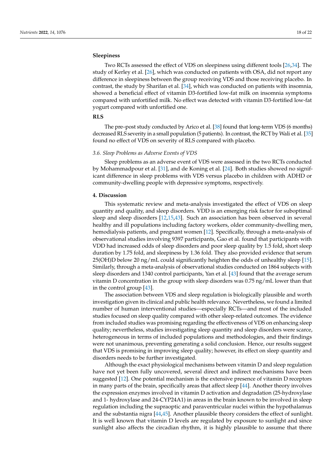## **Sleepiness**

Two RCTs assessed the effect of VDS on sleepiness using different tools [\[26](#page-21-21)[,34\]](#page-21-16). The study of Kerley et al. [\[26\]](#page-21-21), which was conducted on patients with OSA, did not report any difference in sleepiness between the group receiving VDS and those receiving placebo. In contrast, the study by Sharifan et al. [\[34\]](#page-21-16), which was conducted on patients with insomnia, showed a beneficial effect of vitamin D3-fortified low-fat milk on insomnia symptoms compared with unfortified milk. No effect was detected with vitamin D3-fortified low-fat yogurt compared with unfortified one.

## **RLS**

The pre–post study conducted by Arico et al. [\[38\]](#page-22-2) found that long-term VDS (6 months) decreased RLS severity in a small population (5 patients). In contrast, the RCT by Wali et al. [\[35\]](#page-22-6) found no effect of VDS on severity of RLS compared with placebo.

## *3.6. Sleep Problems as Adverse Events of VDS*

Sleep problems as an adverse event of VDS were assessed in the two RCTs conducted by Mohammadpour et al. [\[31\]](#page-21-15), and de Koning et al. [\[24\]](#page-21-11). Both studies showed no significant difference in sleep problems with VDS versus placebo in children with ADHD or community-dwelling people with depressive symptoms, respectively.

## **4. Discussion**

This systematic review and meta-analysis investigated the effect of VDS on sleep quantity and quality, and sleep disorders. VDD is an emerging risk factor for suboptimal sleep and sleep disorders [\[12,](#page-21-0)[15,](#page-21-2)[43\]](#page-22-16). Such an association has been observed in several healthy and ill populations including factory workers, older community-dwelling men, hemodialysis patients, and pregnant women [\[12\]](#page-21-0). Specifically, through a meta-analysis of observational studies involving 9397 participants, Gao et al. found that participants with VDD had increased odds of sleep disorders and poor sleep quality by 1.5 fold, short sleep duration by 1.75 fold, and sleepiness by 1.36 fold. They also provided evidence that serum 25(OH)D below 20 ng/mL could significantly heighten the odds of unhealthy sleep [\[15\]](#page-21-2). Similarly, through a meta-analysis of observational studies conducted on 1864 subjects with sleep disorders and 1340 control participants, Yan et al. [\[43\]](#page-22-16) found that the average serum vitamin D concentration in the group with sleep disorders was 0.75 ng/mL lower than that in the control group [\[43\]](#page-22-16).

The association between VDS and sleep regulation is biologically plausible and worth investigation given its clinical and public health relevance. Nevertheless, we found a limited number of human interventional studies—especially RCTs—and most of the included studies focused on sleep quality compared with other sleep-related outcomes. The evidence from included studies was promising regarding the effectiveness of VDS on enhancing sleep quality; nevertheless, studies investigating sleep quantity and sleep disorders were scarce, heterogeneous in terms of included populations and methodologies, and their findings were not unanimous, preventing generating a solid conclusion. Hence, our results suggest that VDS is promising in improving sleep quality; however, its effect on sleep quantity and disorders needs to be further investigated.

Although the exact physiological mechanisms between vitamin D and sleep regulation have not yet been fully uncovered, several direct and indirect mechanisms have been suggested [\[12\]](#page-21-0). One potential mechanism is the extensive presence of vitamin D receptors in many parts of the brain, specifically areas that affect sleep [\[44\]](#page-22-17). Another theory involves the expression enzymes involved in vitamin D activation and degradation (25-hydroxylase and 1- hydroxylase and 24-CYP24A1) in areas in the brain known to be involved in sleep regulation including the supraoptic and paraventricular nuclei within the hypothalamus and the substantia nigra [\[44](#page-22-17)[,45\]](#page-22-18). Another plausible theory considers the effect of sunlight. It is well known that vitamin D levels are regulated by exposure to sunlight and since sunlight also affects the circadian rhythm, it is highly plausible to assume that there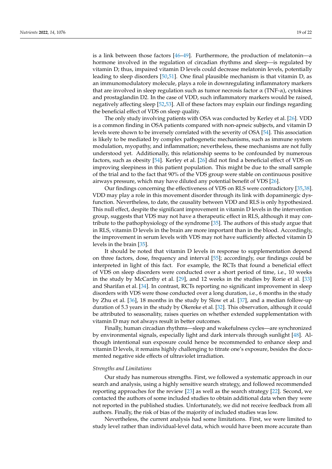is a link between those factors [\[46–](#page-22-19)[49\]](#page-22-20). Furthermore, the production of melatonin—a hormone involved in the regulation of circadian rhythms and sleep—is regulated by vitamin D; thus, impaired vitamin D levels could decrease melatonin levels, potentially leading to sleep disorders [\[50,](#page-22-21)[51\]](#page-22-22). One final plausible mechanism is that vitamin D, as an immunomodulatory molecule, plays a role in downregulating inflammatory markers that are involved in sleep regulation such as tumor necrosis factor  $\alpha$  (TNF- $\alpha$ ), cytokines and prostaglandin D2. In the case of VDD, such inflammatory markers would be raised, negatively affecting sleep [\[52](#page-22-23)[,53\]](#page-22-24). All of these factors may explain our findings regarding the beneficial effect of VDS on sleep quality.

The only study involving patients with OSA was conducted by Kerley et al. [\[26\]](#page-21-21). VDD is a common finding in OSA patients compared with non-apneic subjects, and vitamin D levels were shown to be inversely correlated with the severity of OSA [\[54\]](#page-22-25). This association is likely to be mediated by complex pathogenetic mechanisms, such as immune system modulation, myopathy, and inflammation; nevertheless, these mechanisms are not fully understood yet. Additionally, this relationship seems to be confounded by numerous factors, such as obesity [\[54\]](#page-22-25). Kerley et al. [\[26\]](#page-21-21) did not find a beneficial effect of VDS on improving sleepiness in this patient population. This might be due to the small sample of the trial and to the fact that 90% of the VDS group were stable on continuous positive airways pressure, which may have diluted any potential benefit of VDS [\[26\]](#page-21-21).

Our findings concerning the effectiveness of VDS on RLS were contradictory [\[35,](#page-22-6)[38\]](#page-22-2). VDD may play a role in this movement disorder through its link with dopaminergic dysfunction. Nevertheless, to date, the causality between VDD and RLS is only hypothesized. This null effect, despite the significant improvement in vitamin D levels in the intervention group, suggests that VDS may not have a therapeutic effect in RLS, although it may contribute to the pathophysiology of the syndrome [\[35\]](#page-22-6). The authors of this study argue that in RLS, vitamin D levels in the brain are more important than in the blood. Accordingly, the improvement in serum levels with VDS may not have sufficiently affected vitamin D levels in the brain [\[35\]](#page-22-6).

It should be noted that vitamin D levels in response to supplementation depend on three factors, dose, frequency and interval [\[55\]](#page-22-26); accordingly, our findings could be interpreted in light of this fact. For example, the RCTs that found a beneficial effect of VDS on sleep disorders were conducted over a short period of time, i.e., 10 weeks in the study by McCarthy et al. [\[29\]](#page-21-18), and 12 weeks in the studies by Rorie et al. [\[33\]](#page-21-20) and Sharifan et al. [\[34\]](#page-21-16). In contrast, RCTs reporting no significant improvement in sleep disorders with VDS were those conducted over a long duration, i.e., 6 months in the study by Zhu et al. [\[36\]](#page-22-0), 18 months in the study by Slow et al. [\[37\]](#page-22-1), and a median follow-up duration of 5.3 years in the study by Okereke et al. [\[32\]](#page-21-19). This observation, although it could be attributed to seasonality, raises queries on whether extended supplementation with vitamin D may not always result in better outcomes.

Finally, human circadian rhythms—sleep and wakefulness cycles—are synchronized by environmental signals, especially light and dark intervals through sunlight [\[48\]](#page-22-27). Although intentional sun exposure could hence be recommended to enhance sleep and vitamin D levels, it remains highly challenging to titrate one's exposure, besides the documented negative side effects of ultraviolet irradiation.

## *Strengths and Limitations*

Our study has numerous strengths. First, we followed a systematic approach in our search and analysis, using a highly sensitive search strategy, and followed recommended reporting approaches for the review [\[23\]](#page-21-10) as well as the search strategy [\[22\]](#page-21-9). Second, we contacted the authors of some included studies to obtain additional data when they were not reported in the published studies. Unfortunately, we did not receive feedback from all authors. Finally, the risk of bias of the majority of included studies was low.

Nevertheless, the current analysis had some limitations. First, we were limited to study level rather than individual-level data, which would have been more accurate than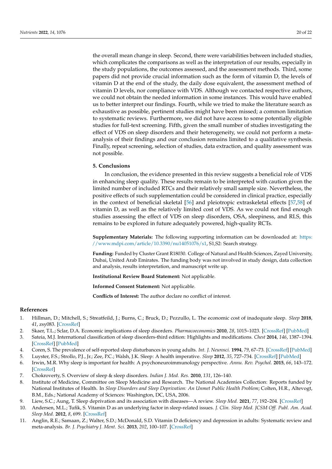the overall mean change in sleep. Second, there were variabilities between included studies, which complicates the comparisons as well as the interpretation of our results, especially in the study populations, the outcomes assessed, and the assessment methods. Third, some papers did not provide crucial information such as the form of vitamin D, the levels of vitamin D at the end of the study, the daily dose equivalent, the assessment method of vitamin D levels, nor compliance with VDS. Although we contacted respective authors, we could not obtain the needed information in some instances. This would have enabled us to better interpret our findings. Fourth, while we tried to make the literature search as exhaustive as possible, pertinent studies might have been missed; a common limitation to systematic reviews. Furthermore, we did not have access to some potentially eligible studies for full-text screening. Fifth, given the small number of studies investigating the effect of VDS on sleep disorders and their heterogeneity, we could not perform a metaanalysis of their findings and our conclusion remains limited to a qualitative synthesis. Finally, repeat screening, selection of studies, data extraction, and quality assessment was not possible.

## **5. Conclusions**

In conclusion, the evidence presented in this review suggests a beneficial role of VDS in enhancing sleep quality. These results remain to be interpreted with caution given the limited number of included RTCs and their relatively small sample size. Nevertheless, the positive effects of such supplementation could be considered in clinical practice, especially in the context of beneficial skeletal [\[56\]](#page-22-28) and pleiotropic extraskeletal effects [\[57,](#page-22-29)[58\]](#page-22-30) of vitamin D, as well as the relatively limited cost of VDS. As we could not find enough studies assessing the effect of VDS on sleep disorders, OSA, sleepiness, and RLS, this remains to be explored in future adequately powered, high-quality RCTs.

**Supplementary Materials:** The following supporting information can be downloaded at: [https:](https://www.mdpi.com/article/10.3390/nu14051076/s1) [//www.mdpi.com/article/10.3390/nu14051076/s1,](https://www.mdpi.com/article/10.3390/nu14051076/s1) S1,S2: Search strategy.

**Funding:** Funded by Cluster Grant R18030. College of Natural and Health Sciences, Zayed University, Dubai, United Arab Emirates. The funding body was not involved in study design, data collection and analysis, results interpretation, and manuscript write up.

**Institutional Review Board Statement:** Not applicable.

**Informed Consent Statement:** Not applicable.

**Conflicts of Interest:** The author declare no conflict of interest.

## **References**

- <span id="page-20-0"></span>1. Hillman, D.; Mitchell, S.; Streatfeild, J.; Burns, C.; Bruck, D.; Pezzullo, L. The economic cost of inadequate sleep. *Sleep* **2018**, *41*, zsy083. [\[CrossRef\]](http://doi.org/10.1093/sleep/zsy083)
- <span id="page-20-1"></span>2. Skaer, T.L.; Sclar, D.A. Economic implications of sleep disorders. *Pharmacoeconomics* **2010**, *28*, 1015–1023. [\[CrossRef\]](http://doi.org/10.2165/11537390-000000000-00000) [\[PubMed\]](http://www.ncbi.nlm.nih.gov/pubmed/20936885)
- <span id="page-20-2"></span>3. Sateia, M.J. International classification of sleep disorders-third edition: Highlights and modifications. *Chest* **2014**, *146*, 1387–1394. [\[CrossRef\]](http://doi.org/10.1378/chest.14-0970) [\[PubMed\]](http://www.ncbi.nlm.nih.gov/pubmed/25367475)
- <span id="page-20-3"></span>4. Coren, S. The prevalence of self-reported sleep disturbances in young adults. *Int. J. Neurosci.* **1994**, *79*, 67–73. [\[CrossRef\]](http://doi.org/10.3109/00207459408986068) [\[PubMed\]](http://www.ncbi.nlm.nih.gov/pubmed/7744552)
- <span id="page-20-4"></span>5. Luyster, F.S.; Strollo, P.J., Jr.; Zee, P.C.; Walsh, J.K. Sleep: A health imperative. *Sleep* **2012**, *35*, 727–734. [\[CrossRef\]](http://doi.org/10.5665/sleep.1846) [\[PubMed\]](http://www.ncbi.nlm.nih.gov/pubmed/22654183)
- <span id="page-20-5"></span>6. Irwin, M.R. Why sleep is important for health: A psychoneuroimmunology perspective. *Annu. Rev. Psychol.* **2015**, *66*, 143–172. [\[CrossRef\]](http://doi.org/10.1146/annurev-psych-010213-115205)
- <span id="page-20-6"></span>7. Chokroverty, S. Overview of sleep & sleep disorders. *Indian J. Med. Res.* **2010**, *131*, 126–140.
- <span id="page-20-7"></span>8. Institute of Medicine, Committee on Sleep Medicine and Research. The National Academies Collection: Reports funded by National Institutes of Health. In *Sleep Disorders and Sleep Deprivation: An Unmet Public Health Problem*; Colten, H.R., Altevogt, B.M., Eds.; National Academy of Sciences: Washington, DC, USA, 2006.
- <span id="page-20-8"></span>9. Liew, S.C.; Aung, T. Sleep deprivation and its association with diseases—A review. *Sleep Med.* **2021**, *77*, 192–204. [\[CrossRef\]](http://doi.org/10.1016/j.sleep.2020.07.048)
- <span id="page-20-9"></span>10. Andersen, M.L.; Tufik, S. Vitamin D as an underlying factor in sleep-related issues. *J. Clin. Sleep Med. JCSM Off. Publ. Am. Acad. Sleep Med.* **2012**, *8*, 699. [\[CrossRef\]](http://doi.org/10.5664/jcsm.2268)
- <span id="page-20-10"></span>11. Anglin, R.E.; Samaan, Z.; Walter, S.D.; McDonald, S.D. Vitamin D deficiency and depression in adults: Systematic review and meta-analysis. *Br. J. Psychiatry J. Ment. Sci.* **2013**, *202*, 100–107. [\[CrossRef\]](http://doi.org/10.1192/bjp.bp.111.106666)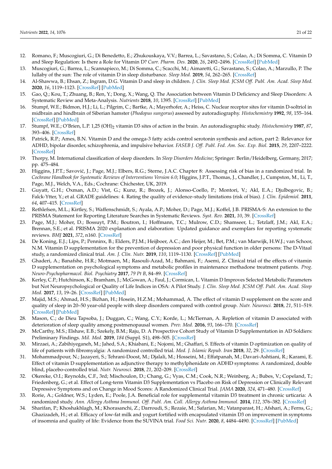- <span id="page-21-0"></span>12. Romano, F.; Muscogiuri, G.; Di Benedetto, E.; Zhukouskaya, V.V.; Barrea, L.; Savastano, S.; Colao, A.; Di Somma, C. Vitamin D and Sleep Regulation: Is there a Role for Vitamin D? *Curr. Pharm. Des.* **2020**, *26*, 2492–2496. [\[CrossRef\]](http://doi.org/10.2174/1381612826666200310145935) [\[PubMed\]](http://www.ncbi.nlm.nih.gov/pubmed/32156230)
- <span id="page-21-1"></span>13. Muscogiuri, G.; Barrea, L.; Scannapieco, M.; Di Somma, C.; Scacchi, M.; Aimaretti, G.; Savastano, S.; Colao, A.; Marzullo, P. The lullaby of the sun: The role of vitamin D in sleep disturbance. *Sleep Med.* **2019**, *54*, 262–265. [\[CrossRef\]](http://doi.org/10.1016/j.sleep.2018.10.033)
- 14. Al-Shawwa, B.; Ehsan, Z.; Ingram, D.G. Vitamin D and sleep in children. *J. Clin. Sleep Med. JCSM Off. Publ. Am. Acad. Sleep Med.* **2020**, *16*, 1119–1123. [\[CrossRef\]](http://doi.org/10.5664/jcsm.8440) [\[PubMed\]](http://www.ncbi.nlm.nih.gov/pubmed/32672533)
- <span id="page-21-2"></span>15. Gao, Q.; Kou, T.; Zhuang, B.; Ren, Y.; Dong, X.; Wang, Q. The Association between Vitamin D Deficiency and Sleep Disorders: A Systematic Review and Meta-Analysis. *Nutrients* **2018**, *10*, 1395. [\[CrossRef\]](http://doi.org/10.3390/nu10101395) [\[PubMed\]](http://www.ncbi.nlm.nih.gov/pubmed/30275418)
- <span id="page-21-31"></span><span id="page-21-3"></span>16. Stumpf, W.E.; Bidmon, H.J.; Li, L.; Pilgrim, C.; Bartke, A.; Mayerhofer, A.; Heiss, C. Nuclear receptor sites for vitamin D-soltriol in midbrain and hindbrain of Siberian hamster (*Phodopus sungorus*) assessed by autoradiography. *Histochemistry* **1992**, *98*, 155–164. [\[CrossRef\]](http://doi.org/10.1007/BF00315874) [\[PubMed\]](http://www.ncbi.nlm.nih.gov/pubmed/1333462)
- <span id="page-21-22"></span><span id="page-21-4"></span>17. Stumpf, W.E.; O'Brien, L.P. 1,25 (OH)<sup>2</sup> vitamin D3 sites of action in the brain. An autoradiographic study. *Histochemistry* **1987**, *87*, 393–406. [\[CrossRef\]](http://doi.org/10.1007/BF00496810)
- <span id="page-21-29"></span><span id="page-21-5"></span>18. Patrick, R.P.; Ames, B.N. Vitamin D and the omega-3 fatty acids control serotonin synthesis and action, part 2: Relevance for ADHD, bipolar disorder, schizophrenia, and impulsive behavior. *FASEB J. Off. Publ. Fed. Am. Soc. Exp. Biol.* **2015**, *29*, 2207–2222. [\[CrossRef\]](http://doi.org/10.1096/fj.14-268342)
- <span id="page-21-23"></span><span id="page-21-6"></span>19. Thorpy, M. International classification of sleep disorders. In *Sleep Disorders Medicine*; Springer: Berlin/Heidelberg, Germany, 2017; pp. 475–484.
- <span id="page-21-24"></span><span id="page-21-7"></span>20. Higgins, J.P.T.; Savović, J.; Page, M.J.; Elbers, R.G.; Sterne, J.A.C. Chapter 8: Assessing risk of bias in a randomized trial. In *Cochrane Handbook for Systematic Reviews of Interventions Version 6.0*; Higgins, J.P.T., Thomas, J., Chandler, J., Cumpston, M., Li, T., Page, M.J., Welch, V.A., Eds.; Cochrane: Chichester, UK, 2019.
- <span id="page-21-26"></span><span id="page-21-8"></span>21. Guyatt, G.H.; Oxman, A.D.; Vist, G.; Kunz, R.; Brozek, J.; Alonso-Coello, P.; Montori, V.; Akl, E.A.; Djulbegovic, B.; Falck-Ytter, Y.; et al. GRADE guidelines: 4. Rating the quality of evidence–study limitations (risk of bias). *J. Clin. Epidemiol.* **2011**, *64*, 407–415. [\[CrossRef\]](http://doi.org/10.1016/j.jclinepi.2010.07.017)
- <span id="page-21-25"></span><span id="page-21-9"></span>22. Rethlefsen, M.L.; Kirtley, S.; Waffenschmidt, S.; Ayala, A.P.; Moher, D.; Page, M.J.; Koffel, J.B. PRISMA-S: An extension to the PRISMA Statement for Reporting Literature Searches in Systematic Reviews. *Syst. Rev.* **2021**, *10*, 39. [\[CrossRef\]](http://doi.org/10.1186/s13643-020-01542-z)
- <span id="page-21-32"></span><span id="page-21-10"></span>23. Page, M.J.; Moher, D.; Bossuyt, P.M.; Boutron, I.; Hoffmann, T.C.; Mulrow, C.D.; Shamseer, L.; Tetzlaff, J.M.; Akl, E.A.; Brennan, S.E.; et al. PRISMA 2020 explanation and elaboration: Updated guidance and exemplars for reporting systematic reviews. *BMJ* **2021**, *372*, n160. [\[CrossRef\]](http://doi.org/10.1136/bmj.n160)
- <span id="page-21-27"></span><span id="page-21-11"></span>24. De Koning, E.J.; Lips, P.; Penninx, B.; Elders, P.J.M.; Heijboer, A.C.; den Heijer, M.; Bet, P.M.; van Marwijk, H.W.J.; van Schoor, N.M. Vitamin D supplementation for the prevention of depression and poor physical function in older persons: The D-Vitaal study, a randomized clinical trial. *Am. J. Clin. Nutr.* **2019**, *110*, 1119–1130. [\[CrossRef\]](http://doi.org/10.1093/ajcn/nqz141) [\[PubMed\]](http://www.ncbi.nlm.nih.gov/pubmed/31340012)
- <span id="page-21-30"></span><span id="page-21-28"></span><span id="page-21-12"></span>25. Ghaderi, A.; Banafshe, H.R.; Motmaen, M.; Rasouli-Azad, M.; Bahmani, F.; Asemi, Z. Clinical trial of the effects of vitamin D supplementation on psychological symptoms and metabolic profiles in maintenance methadone treatment patients. *Prog. Neuro-Psychopharmacol. Biol. Psychiatry* **2017**, *79 Pt B*, 84–89. [\[CrossRef\]](http://doi.org/10.1016/j.pnpbp.2017.06.016)
- <span id="page-21-21"></span>26. Kerley, C.P.; Hutchinson, K.; Bramham, J.; McGowan, A.; Faul, J.; Cormican, L. Vitamin D Improves Selected Metabolic Parameters but Not Neuropsychological or Quality of Life Indices in OSA: A Pilot Study. *J. Clin. Sleep Med. JCSM Off. Publ. Am. Acad. Sleep Med.* **2017**, *13*, 19–26. [\[CrossRef\]](http://doi.org/10.5664/jcsm.6378) [\[PubMed\]](http://www.ncbi.nlm.nih.gov/pubmed/27707440)
- <span id="page-21-13"></span>27. Majid, M.S.; Ahmad, H.S.; Bizhan, H.; Hosein, H.Z.M.; Mohammad, A. The effect of vitamin D supplement on the score and quality of sleep in 20–50 year-old people with sleep disorders compared with control group. *Nutr. Neurosci.* **2018**, *21*, 511–519. [\[CrossRef\]](http://doi.org/10.1080/1028415X.2017.1317395) [\[PubMed\]](http://www.ncbi.nlm.nih.gov/pubmed/28475473)
- <span id="page-21-17"></span>28. Mason, C.; de Dieu Tapsoba, J.; Duggan, C.; Wang, C.Y.; Korde, L.; McTiernan, A. Repletion of vitamin D associated with deterioration of sleep quality among postmenopausal women. *Prev. Med.* **2016**, *93*, 166–170. [\[CrossRef\]](http://doi.org/10.1016/j.ypmed.2016.09.035)
- <span id="page-21-18"></span>29. McCarthy, M.S.; Elshaw, E.B.; Szekely, B.M.; Raju, D. A Prospective Cohort Study of Vitamin D Supplementation in AD Soldiers: Preliminary Findings. *Mil. Med.* **2019**, *184* (Suppl. S1), 498–505. [\[CrossRef\]](http://doi.org/10.1093/milmed/usy393)
- <span id="page-21-14"></span>30. Mirzaei, A.; Zabihiyeganeh, M.; Jahed, S.A.; Khiabani, E.; Nojomi, M.; Ghaffari, S. Effects of vitamin D optimization on quality of life of patients with fibromyalgia: A randomized controlled trial. *Med. J. Islamic Repub. Iran* **2018**, *32*, 29. [\[CrossRef\]](http://doi.org/10.14196/mjiri.32.29)
- <span id="page-21-15"></span>31. Mohammadpour, N.; Jazayeri, S.; Tehrani-Doost, M.; Djalali, M.; Hosseini, M.; Effatpanah, M.; Davari-Ashtiani, R.; Karami, E. Effect of vitamin D supplementation as adjunctive therapy to methylphenidate on ADHD symptoms: A randomized, double blind, placebo-controlled trial. *Nutr. Neurosci.* **2018**, *21*, 202–209. [\[CrossRef\]](http://doi.org/10.1080/1028415X.2016.1262097)
- <span id="page-21-19"></span>32. Okereke, O.I.; Reynolds, C.F., 3rd; Mischoulon, D.; Chang, G.; Vyas, C.M.; Cook, N.R.; Weinberg, A.; Bubes, V.; Copeland, T.; Friedenberg, G.; et al. Effect of Long-term Vitamin D3 Supplementation vs Placebo on Risk of Depression or Clinically Relevant Depressive Symptoms and on Change in Mood Scores: A Randomized Clinical Trial. *JAMA* **2020**, *324*, 471–480. [\[CrossRef\]](http://doi.org/10.1001/jama.2020.10224)
- <span id="page-21-20"></span>33. Rorie, A.; Goldner, W.S.; Lyden, E.; Poole, J.A. Beneficial role for supplemental vitamin D3 treatment in chronic urticaria: A randomized study. *Ann. Allergy Asthma Immunol. Off. Publ. Am. Coll. Allergy Asthma Immunol.* **2014**, *112*, 376–382. [\[CrossRef\]](http://doi.org/10.1016/j.anai.2014.01.010)
- <span id="page-21-16"></span>34. Sharifan, P.; Khoshakhlagh, M.; Khorasanchi, Z.; Darroudi, S.; Rezaie, M.; Safarian, M.; Vatanparast, H.; Afshari, A.; Ferns, G.; Ghazizadeh, H.; et al. Efficacy of low-fat milk and yogurt fortified with encapsulated vitamin D3 on improvement in symptoms of insomnia and quality of life: Evidence from the SUVINA trial. *Food Sci. Nutr.* **2020**, *8*, 4484–4490. [\[CrossRef\]](http://doi.org/10.1002/fsn3.1750) [\[PubMed\]](http://www.ncbi.nlm.nih.gov/pubmed/32884728)